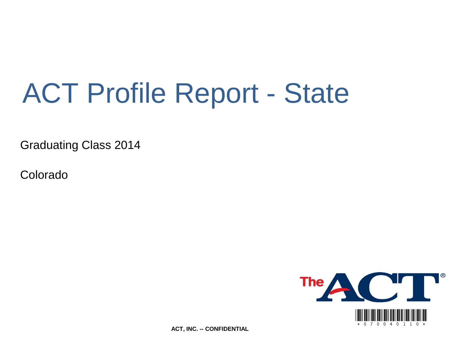# ACT Profile Report - State

Graduating Class 2014

Colorado



**ACT, INC. -- CONFIDENTIAL**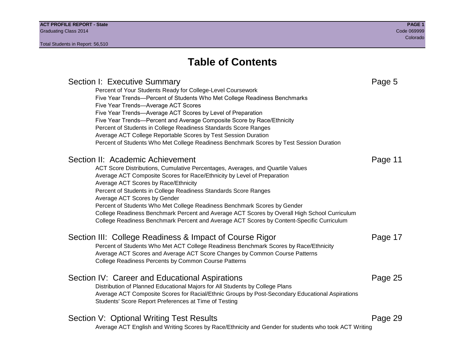# **Table of Contents**

# Section I: Executive Summary **Page 5** and the section I: Executive Summary Percent of Your Students Ready for College-Level Coursework Five Year Trends—Percent of Students Who Met College Readiness Benchmarks Five Year Trends—Average ACT Scores Five Year Trends—Average ACT Scores by Level of Preparation Five Year Trends—Percent and Average Composite Score by Race/Ethnicity Percent of Students in College Readiness Standards Score Ranges Average ACT College Reportable Scores by Test Session Duration Percent of Students Who Met College Readiness Benchmark Scores by Test Session Duration Section II: Academic Achievement **Page 11** Page 11 ACT Score Distributions, Cumulative Percentages, Averages, and Quartile Values Average ACT Composite Scores for Race/Ethnicity by Level of Preparation Average ACT Scores by Race/Ethnicity Percent of Students in College Readiness Standards Score Ranges Average ACT Scores by Gender Percent of Students Who Met College Readiness Benchmark Scores by Gender College Readiness Benchmark Percent and Average ACT Scores by Overall High School Curriculum College Readiness Benchmark Percent and Average ACT Scores by Content-Specific Curriculum Section III: College Readiness & Impact of Course Rigor Page 17 Percent of Students Who Met ACT College Readiness Benchmark Scores by Race/Ethnicity Average ACT Scores and Average ACT Score Changes by Common Course Patterns College Readiness Percents by Common Course Patterns Section IV: Career and Educational Aspirations **Page 25** Page 25 Distribution of Planned Educational Majors for All Students by College Plans Average ACT Composite Scores for Racial/Ethnic Groups by Post-Secondary Educational Aspirations Students' Score Report Preferences at Time of Testing Section V: Optional Writing Test Results **Page 29** Page 29 Average ACT English and Writing Scores by Race/Ethnicity and Gender for students who took ACT Writing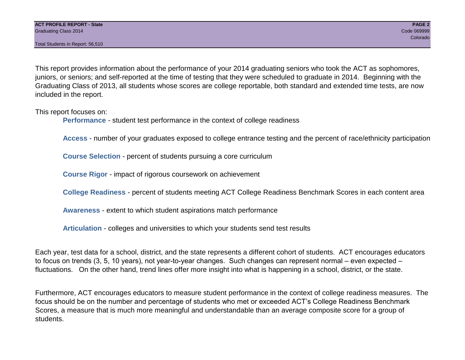Total Students in Report: 56,510

This report provides information about the performance of your 2014 graduating seniors who took the ACT as sophomores, juniors, or seniors; and self-reported at the time of testing that they were scheduled to graduate in 2014. Beginning with the Graduating Class of 2013, all students whose scores are college reportable, both standard and extended time tests, are now included in the report.

This report focuses on:

**Performance** - student test performance in the context of college readiness

**Access** - number of your graduates exposed to college entrance testing and the percent of race/ethnicity participation

**Course Selection** - percent of students pursuing a core curriculum

**Course Rigor** - impact of rigorous coursework on achievement

**College Readiness** - percent of students meeting ACT College Readiness Benchmark Scores in each content area

**Awareness** - extent to which student aspirations match performance

**Articulation** - colleges and universities to which your students send test results

Each year, test data for a school, district, and the state represents a different cohort of students. ACT encourages educators to focus on trends (3, 5, 10 years), not year-to-year changes. Such changes can represent normal – even expected – fluctuations. On the other hand, trend lines offer more insight into what is happening in a school, district, or the state.

Furthermore, ACT encourages educators to measure student performance in the context of college readiness measures. The focus should be on the number and percentage of students who met or exceeded ACT's College Readiness Benchmark Scores, a measure that is much more meaningful and understandable than an average composite score for a group of students.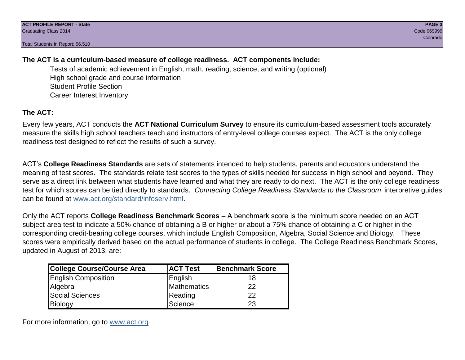Total Students in Report: 56,510

# **The ACT is a curriculum-based measure of college readiness. ACT components include:**

Tests of academic achievement in English, math, reading, science, and writing (optional) High school grade and course information Student Profile Section Career Interest Inventory

# **The ACT:**

Every few years, ACT conducts the **ACT National Curriculum Survey** to ensure its curriculum-based assessment tools accurately measure the skills high school teachers teach and instructors of entry-level college courses expect. The ACT is the only college readiness test designed to reflect the results of such a survey.

ACT's **College Readiness Standards** are sets of statements intended to help students, parents and educators understand the meaning of test scores. The standards relate test scores to the types of skills needed for success in high school and beyond. They serve as a direct link between what students have learned and what they are ready to do next. The ACT is the only college readiness test for which scores can be tied directly to standards. *Connecting College Readiness Standards to the Classroom* interpretive guides can be found at www.act.org/standard/infoserv.html.

Only the ACT reports **College Readiness Benchmark Scores** – A benchmark score is the minimum score needed on an ACT subject-area test to indicate a 50% chance of obtaining a B or higher or about a 75% chance of obtaining a C or higher in the corresponding credit-bearing college courses, which include English Composition, Algebra, Social Science and Biology. These scores were empirically derived based on the actual performance of students in college. The College Readiness Benchmark Scores, updated in August of 2013, are:

| College Course/Course Area | <b>ACT Test</b> | <b>Benchmark Score</b> |
|----------------------------|-----------------|------------------------|
| <b>English Composition</b> | English         | 18                     |
| Algebra                    | Mathematics     | 22                     |
| <b>Social Sciences</b>     | Reading         | 22                     |
| Biology                    | Science         | 23                     |

For more information, go to www.act.org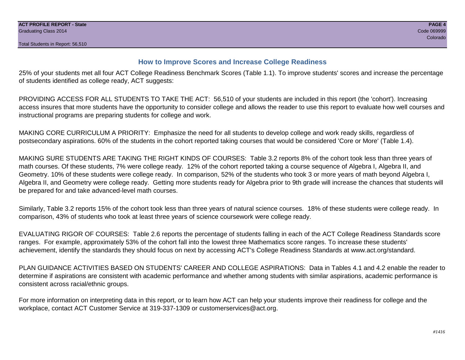# **How to Improve Scores and Increase College Readiness**

25% of your students met all four ACT College Readiness Benchmark Scores (Table 1.1). To improve students' scores and increase the percentage of students identified as college ready, ACT suggests:

PROVIDING ACCESS FOR ALL STUDENTS TO TAKE THE ACT: 56,510 of your students are included in this report (the 'cohort'). Increasing access insures that more students have the opportunity to consider college and allows the reader to use this report to evaluate how well courses and instructional programs are preparing students for college and work.

MAKING CORE CURRICULUM A PRIORITY: Emphasize the need for all students to develop college and work ready skills, regardless of postsecondary aspirations. 60% of the students in the cohort reported taking courses that would be considered 'Core or More' (Table 1.4).

MAKING SURE STUDENTS ARE TAKING THE RIGHT KINDS OF COURSES: Table 3.2 reports 8% of the cohort took less than three years of math courses. Of these students, 7% were college ready. 12% of the cohort reported taking a course sequence of Algebra I, Algebra II, and Geometry. 10% of these students were college ready. In comparison, 52% of the students who took 3 or more years of math beyond Algebra I, Algebra II, and Geometry were college ready. Getting more students ready for Algebra prior to 9th grade will increase the chances that students will be prepared for and take advanced-level math courses.

Similarly, Table 3.2 reports 15% of the cohort took less than three years of natural science courses. 18% of these students were college ready. In comparison, 43% of students who took at least three years of science coursework were college ready.

EVALUATING RIGOR OF COURSES: Table 2.6 reports the percentage of students falling in each of the ACT College Readiness Standards score ranges. For example, approximately 53% of the cohort fall into the lowest three Mathematics score ranges. To increase these students' achievement, identify the standards they should focus on next by accessing ACT's College Readiness Standards at www.act.org/standard.

PLAN GUIDANCE ACTIVITIES BASED ON STUDENTS' CAREER AND COLLEGE ASPIRATIONS: Data in Tables 4.1 and 4.2 enable the reader to determine if aspirations are consistent with academic performance and whether among students with similar aspirations, academic performance is consistent across racial/ethnic groups.

For more information on interpreting data in this report, or to learn how ACT can help your students improve their readiness for college and the workplace, contact ACT Customer Service at 319-337-1309 or customerservices@act.org.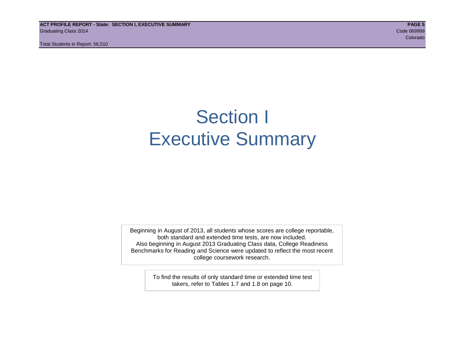**ACT PROFILE REPORT - State: SECTION I, EXECUTIVE SUMMARY PAGE 5** Graduating Class 2014 Code 069999

Total Students in Report: 56,510

e de la construcción de la construcción de la construcción de la construcción de la construcción de la construcción

# Section I Executive Summary

Beginning in August of 2013, all students whose scores are college reportable, both standard and extended time tests, are now included. Also beginning in August 2013 Graduating Class data, College Readiness Benchmarks for Reading and Science were updated to reflect the most recent college coursework research.

> To find the results of only standard time or extended time test takers, refer to Tables 1.7 and 1.8 on page 10.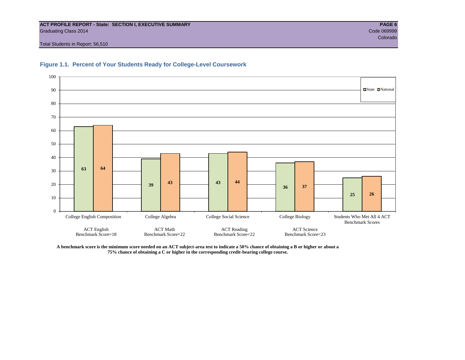# **ACT PROFILE REPORT - State: SECTION I, EXECUTIVE SUMMARY PAGE 6** Graduating Class 2014 Code 069999

e de la construcción de la construcción de la construcción de la construcción de la construcción de la construcción

Total Students in Report: 56,510





**A benchmark score is the minimum score needed on an ACT subject-area test to indicate a 50% chance of obtaining a B or higher or about a 75% chance of obtaining a C or higher in the corresponding credit-bearing college course.**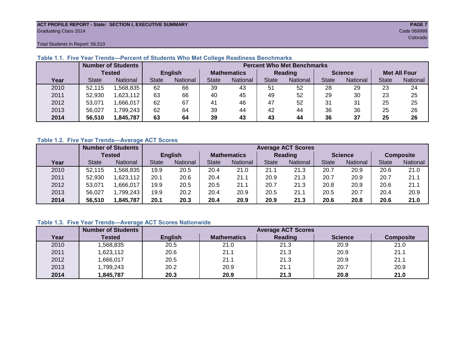# **ACT PROFILE REPORT - State: SECTION I, EXECUTIVE SUMMARY PAGE 7** Graduating Class 2014 Code 069999

e de la construcción de la construcción de la construcción de la construcción de la construcción de la construcción

Total Students in Report: 56,510

|      |               | <b>Number of Students</b> |                |          | <b>Percent Who Met Benchmarks</b> |          |              |          |                |          |                     |          |
|------|---------------|---------------------------|----------------|----------|-----------------------------------|----------|--------------|----------|----------------|----------|---------------------|----------|
|      | <b>Tested</b> |                           | <b>English</b> |          | <b>Mathematics</b>                |          |              | Reading  | <b>Science</b> |          | <b>Met All Four</b> |          |
| Year | <b>State</b>  | <b>National</b>           | <b>State</b>   | National | State                             | National | <b>State</b> | National | <b>State</b>   | National | <b>State</b>        | National |
| 2010 | 52,115        | .568,835                  | 62             | 66       | 39                                | 43       | 51           | 52       | 28             | 29       | 23                  | 24       |
| 2011 | 52,930        | .623,112                  | 63             | 66       | 40                                | 45       | 49           | 52       | 29             | 30       | 23                  | 25       |
| 2012 | 53.071        | ,666,017                  | 62             | 67       | 41                                | 46       | 47           | 52       | 31             | 31       | 25                  | 25       |
| 2013 | 56,027        | ,799,243                  | 62             | 64       | 39                                | 44       | 42           | 44       | 36             | 36       | 25                  | 26       |
| 2014 | 56,510        | 1,845,787                 | 63             | 64       | 39                                | 43       | 43           | 44       | 36             | 37       | 25                  | 26       |

# **Table 1.1. Five Year Trends—Percent of Students Who Met College Readiness Benchmarks**

# **Table 1.2. Five Year Trends—Average ACT Scores**

|      |              | <b>Number of Students</b> |                | <b>Average ACT Scores</b> |                    |                 |              |                 |              |                |              |                  |
|------|--------------|---------------------------|----------------|---------------------------|--------------------|-----------------|--------------|-----------------|--------------|----------------|--------------|------------------|
|      | Tested       |                           | <b>English</b> |                           | <b>Mathematics</b> |                 |              | <b>Reading</b>  |              | <b>Science</b> |              | <b>Composite</b> |
| Year | <b>State</b> | <b>National</b>           | <b>State</b>   | National                  | State              | <b>National</b> | <b>State</b> | <b>National</b> | <b>State</b> | National       | <b>State</b> | National         |
| 2010 | 52,115       | .568,835                  | 19.9           | 20.5                      | 20.4               | 21.0            | 21.1         | 21.3            | 20.7         | 20.9           | 20.6         | 21.0             |
| 2011 | 52,930       | ,623,112                  | 20.1           | 20.6                      | 20.4               | 21.1            | 20.9         | 21.3            | 20.7         | 20.9           | 20.7         | 21.1             |
| 2012 | 53,071       | .666,017                  | 19.9           | 20.5                      | 20.5               | 21.1            | 20.7         | 21.3            | 20.8         | 20.9           | 20.6         | 21.1             |
| 2013 | 56,027       | .799,243                  | 19.9           | 20.2                      | 20.4               | 20.9            | 20.5         | 21.1            | 20.5         | 20.7           | 20.4         | 20.9             |
| 2014 | 56,510       | .845,787                  | 20.1           | 20.3                      | 20.4               | 20.9            | 20.9         | 21.3            | 20.6         | 20.8           | 20.6         | 21.0             |

# **Table 1.3. Five Year Trends—Average ACT Scores Nationwide**

|      | <b>Number of Students</b> | <b>Average ACT Scores</b> |                    |         |                |                  |  |  |  |  |
|------|---------------------------|---------------------------|--------------------|---------|----------------|------------------|--|--|--|--|
| Year | Tested                    | <b>English</b>            | <b>Mathematics</b> | Reading | <b>Science</b> | <b>Composite</b> |  |  |  |  |
| 2010 | ,568,835                  | 20.5                      | 21.0               | 21.3    | 20.9           | 21.0             |  |  |  |  |
| 2011 | ,623,112                  | 20.6                      | 21.1               | 21.3    | 20.9           | 21.1             |  |  |  |  |
| 2012 | ,666,017                  | 20.5                      | 21.1               | 21.3    | 20.9           | 21.1             |  |  |  |  |
| 2013 | 1,799,243                 | 20.2                      | 20.9               | 21.1    | 20.7           | 20.9             |  |  |  |  |
| 2014 | 845,787                   | 20.3                      | 20.9               | 21.3    | 20.8           | 21.0             |  |  |  |  |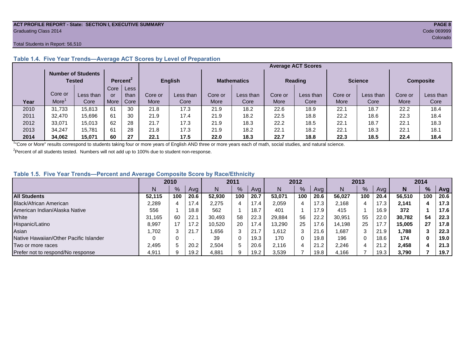# **ACT PROFILE REPORT - State: SECTION I, EXECUTIVE SUMMARY PAGE 8** Graduating Class 2014 Code 069999

# Total Students in Report: 56,510

|      |                                                                    |           |      |      |                                      |           |         |           |         | <b>Average ACT Scores</b> |         |                |                  |           |
|------|--------------------------------------------------------------------|-----------|------|------|--------------------------------------|-----------|---------|-----------|---------|---------------------------|---------|----------------|------------------|-----------|
|      | <b>Number of Students</b><br>Percent <sup>2</sup><br><b>Tested</b> |           |      |      | <b>English</b><br><b>Mathematics</b> |           |         |           |         |                           |         | <b>Science</b> | <b>Composite</b> |           |
|      |                                                                    |           | Core | Less |                                      |           |         |           |         | <b>Reading</b>            |         |                |                  |           |
|      | Core or                                                            | Less than | or   | than | Core or                              | Less than | Core or | Less than | Core or | Less than                 | Core or | Less than      | Core or          | Less than |
| Year | More <sup>1</sup>                                                  | Core      | More | Core | More                                 | Core      | More    | Core      | More    | Core                      | More    | Core           | More             | Core      |
| 2010 | 31.733                                                             | 15.813    | -61  | 30   | 21.8                                 | 17.3      | 21.9    | 18.2      | 22.6    | 18.9                      | 22.1    | 18.7           | 22.2             | 18.4      |
| 2011 | 32.470                                                             | 15,696    | 61   | 30   | 21.9                                 | 17.4      | 21.9    | 18.2      | 22.5    | 18.8                      | 22.2    | 18.6           | 22.3             | 18.4      |
| 2012 | 33.071                                                             | 15,013    | 62   | 28   | 21.7                                 | 17.3      | 21.9    | 18.3      | 22.2    | 18.5                      | 22.1    | 18.7           | 22.1             | 18.3      |
| 2013 | 34.247                                                             | 15.781    | -61  | 28   | 21.8                                 | 17.3      | 21.9    | 18.2      | 22.1    | 18.2                      | 22.1    | 18.3           | 22.1             | 18.1      |
| 2014 | 34.062                                                             | 15.071    | 60   | 27   | 22.1                                 | 17.5      | 22.0    | 18.3      | 22.7    | 18.8                      | 22.3    | 18.5           | 22.4             | 18.4      |

# **Table 1.4. Five Year Trends—Average ACT Scores by Level of Preparation**

<sup>1</sup>"Core or More" results correspond to students taking four or more years of English AND three or more years each of math, social studies, and natural science.

 $2P$ ercent of all students tested. Numbers will not add up to 100% due to student non-response.

# **Table 1.5. Five Year Trends—Percent and Average Composite Score by Race/Ethnicity**

|                                        | 2010   |     |      | 2011   |     | 2012 |        | 2013 |      |        | 2014 |      |        |               |      |
|----------------------------------------|--------|-----|------|--------|-----|------|--------|------|------|--------|------|------|--------|---------------|------|
|                                        | N      | %   | Ava  | N      | %   | Avg  | N      | %    | Avg  | N      | %    | Ava  | N      | $\frac{9}{6}$ | Avg  |
| <b>All Students</b>                    | 52.115 | 100 | 20.6 | 52,930 | 100 | 20.7 | 53.071 | 100  | 20.6 | 56.027 | 100  | 20.4 | 56.510 | 100           | 20.6 |
| <b>Black/African American</b>          | 2,289  |     | 17.4 | 2,275  |     | 17.4 | 2,059  | 4    | 17.3 | 2.168  |      | 17.3 | 2.141  |               | 17.3 |
| American Indian/Alaska Native          | 556    |     | 18.8 | 562    |     | 18.7 | 401    |      | 17.9 | 415    |      | 16.9 | 372    |               | 17.6 |
| White                                  | 31.165 | 60  | 22.1 | 30,493 | 58  | 22.3 | 29,884 | 56   | 22.2 | 30.951 | 55   | 22.0 | 30.782 | 54            | 22.3 |
| Hispanic/Latino                        | 8.997  | 17  | 17.2 | 10,520 | 20  | 17.4 | 13,290 | 25   | 17.6 | 14.198 | 25   | 17.7 | 15.005 | 27            | 17.8 |
| Asian                                  | 702.ا  | 3   | 21.7 | .656   |     | 21.7 | 612. ا | 3    | 21.6 | .687   | 3    | 21.9 | 1,788  |               | 22.3 |
| Native Hawaiian/Other Pacific Islander | 0      | 0   |      | 39     |     | 19.3 | 170    |      | 19.8 | 196    | 0    | 18.6 | 174    |               | 19.0 |
| Two or more races                      | 2.495  | 5   | 20.2 | 2,504  |     | 20.6 | 2.116  | 4    | 21.2 | 2,246  |      | 21.2 | 2,458  |               | 21.3 |
| Prefer not to respond/No response      | 4,911  | 9   | 19.2 | 4,881  |     | 19.2 | 3,539  |      | 19.8 | 4,166  |      | 19.3 | 3,790  |               | 19.7 |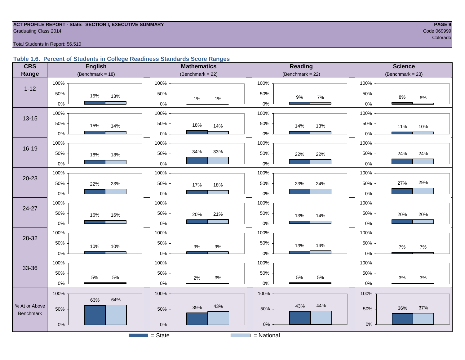# **ACT PROFILE REPORT - State: SECTION I, EXECUTIVE SUMMARY PAGE 9** Code 069999 Craduating Class 2014 Code 069999 Code 069999 Code 069999 Code 069999 Code 069999 Code 069999 Code 069999 Code 069999 Code 069999 Code 069999 Code 069999 Code 069999 Code 069999 Code 069999 Code 069999 Code 069

e de la construcción de la construcción de la construcción de la construcción de la construcción de la construcción

# Total Students in Report: 56,510

# **Table 1.6. Percent of Students in College Readiness Standards Score Ranges**

| <b>CRS</b>    | <b>English</b>      | <b>Mathematics</b>     | <b>Reading</b>        | <b>Science</b>      |
|---------------|---------------------|------------------------|-----------------------|---------------------|
| Range         | (Benchmark = $18$ ) | (Benchmark = $22$ )    | $(Benchmark = 22)$    | (Benchmark = $23$ ) |
|               | 100%                | 100%                   | 100%                  | 100%                |
| $1 - 12$      | 50%<br>15%<br>13%   | 50%<br>1%<br>1%        | 50%<br>$9\%$<br>7%    | 50%<br>8%<br>6%     |
|               | $0\%$               | $0\%$                  | $0\%$                 | $0\%$               |
| $13 - 15$     | 100%                | 100%                   | 100%                  | 100%                |
|               | 50%<br>15%<br>14%   | 50%<br>18%<br>14%      | 50%<br>14%<br>13%     | 50%<br>11%<br>10%   |
|               | $0\%$               | 0%                     | $0\%$                 | 0%                  |
|               | 100%                | 100%                   | 100%                  | 100%                |
| $16 - 19$     | 50%<br>18%<br>18%   | 34%<br>33%<br>50%      | 50%<br>22%<br>22%     | 50%<br>24%<br>24%   |
|               | $0\%$               | 0%                     | $0\%$                 | 0%                  |
|               | 100%                | 100%                   | 100%                  | 100%                |
| $20 - 23$     | 50%<br>22%<br>23%   | 50%<br>17%<br>18%      | 50%<br>24%<br>23%     | 29%<br>27%<br>50%   |
|               | $0\%$               | $0\%$                  | $0\%$                 | $0\%$               |
|               | 100%                | 100%                   | 100%                  | 100%                |
| 24-27         | 50%<br>16%<br>16%   | 50%<br>20%<br>21%      | 50%<br>13%<br>14%     | 50%<br>20%<br>20%   |
|               | $0\%$               | $0\%$                  | $0\%$                 | 0%                  |
|               | 100%                | 100%                   | 100%                  | 100%                |
| 28-32         | 50%<br>10%<br>10%   | 50%<br>$9\%$<br>$9\%$  | 50%<br>13%<br>14%     | 50%<br>7%<br>$7\%$  |
|               | $0\%$               | $0\%$                  | $0\%$                 | $0\%$               |
|               | 100%                | 100%                   | 100%                  | 100%                |
| 33-36         | 50%<br>5%<br>$5\%$  | 50%                    | 50%<br>$5\%$<br>$5\%$ | 50%                 |
|               | $0\%$               | 2%<br>3%<br>$0\%$      | $0\%$                 | 3%<br>3%<br>0%      |
|               | 100%                | 100%                   | 100%                  | 100%                |
| % At or Above | 64%<br>63%          | 43%                    | 43%<br>44%            |                     |
| Benchmark     | 50%                 | 39%<br>50%             | 50%                   | 37%<br>36%<br>50%   |
|               | $0\%$               | $0\%$                  | $0\%$                 | $0\%$               |
|               |                     | $\overline{S}$ = State | = National            |                     |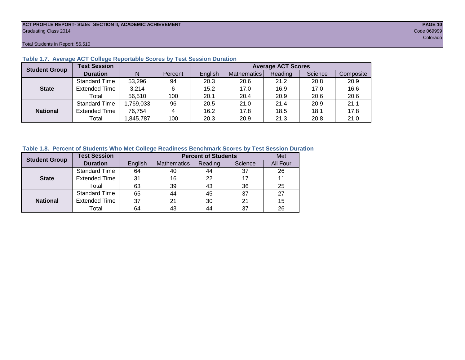# **ACT PROFILE REPORT- State: SECTION II, ACADEMIC ACHIEVEMENT PAGE 10** Graduating Class 2014 Code 069999

Total Students in Report: 56,510

| <b>Student Group</b> | <b>Test Session</b>  |          |         |         |             | <b>Average ACT Scores</b> |         |           |
|----------------------|----------------------|----------|---------|---------|-------------|---------------------------|---------|-----------|
|                      | <b>Duration</b>      | N        | Percent | English | Mathematics | Reading                   | Science | Composite |
|                      | <b>Standard Time</b> | 53,296   | 94      | 20.3    | 20.6        | 21.2                      | 20.8    | 20.9      |
| <b>State</b>         | <b>Extended Time</b> | 3,214    | 6       | 15.2    | 17.0        | 16.9                      | 17.0    | 16.6      |
|                      | Total                | 56,510   | 100     | 20.1    | 20.4        | 20.9                      | 20.6    | 20.6      |
|                      | <b>Standard Time</b> | ,769,033 | 96      | 20.5    | 21.0        | 21.4                      | 20.9    | 21.1      |
| <b>National</b>      | <b>Extended Time</b> | 76.754   | 4       | 16.2    | 17.8        | 18.5                      | 18.1    | 17.8      |
|                      | Total                | ,845,787 | 100     | 20.3    | 20.9        | 21.3                      | 20.8    | 21.0      |

# **Table 1.7. Average ACT College Reportable Scores by Test Session Duration**

# **Table 1.8. Percent of Students Who Met College Readiness Benchmark Scores by Test Session Duration**

| <b>Student Group</b> | <b>Test Session</b>  |         | Met         |         |         |          |
|----------------------|----------------------|---------|-------------|---------|---------|----------|
|                      | <b>Duration</b>      | English | Mathematics | Reading | Science | All Four |
|                      | <b>Standard Time</b> | 64      | 40          | 44      | 37      | 26       |
| <b>State</b>         | <b>Extended Time</b> | 31      | 16          | 22      | 17      | 11       |
|                      | Total                | 63      | 39          | 43      | 36      | 25       |
|                      | Standard Time        | 65      | 44          | 45      | 37      | 27       |
| <b>National</b>      | <b>Extended Time</b> | 37      | 21          | 30      | 21      | 15       |
|                      | Total                | 64      | 43          | 44      | 37      | 26       |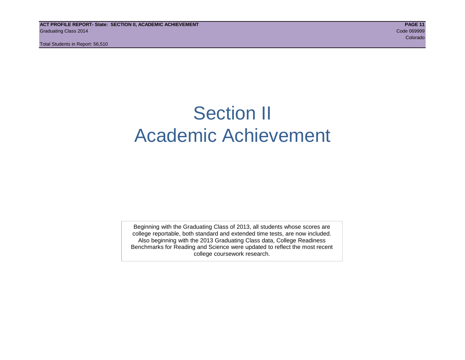# Section II Academic Achievement

Beginning with the Graduating Class of 2013, all students whose scores are college reportable, both standard and extended time tests, are now included. Also beginning with the 2013 Graduating Class data, College Readiness Benchmarks for Reading and Science were updated to reflect the most recent college coursework research.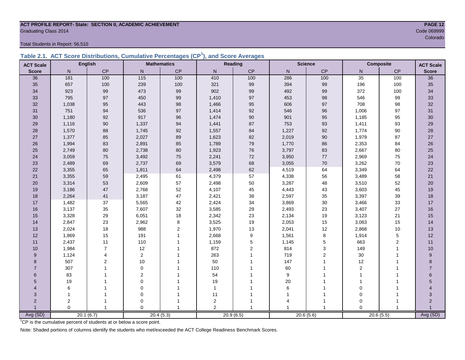# **ACT PROFILE REPORT- State: SECTION II, ACADEMIC ACHIEVEMENT PAGE 12** Code 069999<br>Colorado

Total Students in Report: 56,510

|  | Table 2.1. ACT Score Distributions, Cumulative Percentages (CP <sup>1</sup> ), and Score Averages |  |  |  |
|--|---------------------------------------------------------------------------------------------------|--|--|--|
|  |                                                                                                   |  |  |  |

| <b>ACT Scale</b> |                | <b>English</b> |                  | <b>Mathematics</b> |                  | Reading        |                | <b>Science</b> |                | <b>Composite</b> | <b>ACT Scale</b> |
|------------------|----------------|----------------|------------------|--------------------|------------------|----------------|----------------|----------------|----------------|------------------|------------------|
| <b>Score</b>     | N              | CP             | N                | CP                 | N                | CP             | $\overline{N}$ | CP             | N <sub>1</sub> | CP               | <b>Score</b>     |
| 36               | 181            | 100            | $\overline{115}$ | 100                | 410              | 100            | 286            | 100            | 35             | 100              | 36               |
| 35               | 657            | 100            | 239              | 100                | 321              | 99             | 394            | 99             | 196            | 100              | 35               |
| 34               | 923            | 99             | 473              | 99                 | 902              | 99             | 492            | 99             | 372            | 100              | 34               |
| 33               | 795            | 97             | 450              | 99                 | 1,410            | 97             | 453            | 98             | 546            | 99               | 33               |
| 32               | 1,038          | 95             | 443              | 98                 | 1,466            | 95             | 606            | 97             | 708            | 98               | 32               |
| 31               | 751            | 94             | 536              | 97                 | 1,414            | 92             | 546            | 96             | 1,006          | 97               | 31               |
| 30               | 1,180          | 92             | 917              | 96                 | 1,474            | 90             | 901            | 95             | 1,185          | 95               | $30\,$           |
| 29               | 1,116          | $90\,$         | 1,337            | 94                 | 1,441            | 87             | 753            | 93             | 1,411          | 93               | 29               |
| 28               | 1,570          | 88             | 1,745            | 92                 | 1,557            | 84             | 1,227          | 92             | 1,774          | 90               | 28               |
| 27               | 1,377          | 85             | 2,027            | 89                 | 1,623            | 82             | 2,019          | $90\,$         | 1,979          | 87               | 27               |
| 26               | 1,994          | 83             | 2,891            | 85                 | 1,789            | 79             | 1,770          | 86             | 2,353          | 84               | 26               |
| 25               | 2,749          | 80             | 2,738            | $80\,$             | 1,923            | 76             | 3,797          | 83             | 2,667          | 80               | 25               |
| 24               | 3,059          | 75             | 3,492            | 75                 | 2,241            | $72\,$         | 3,950          | 77             | 2,969          | 75               | 24               |
| 23               | 2,489          | 69             | 2,737            | 69                 | 3,579            | 68             | 3,055          | $70\,$         | 3,262          | 70               | 23               |
| 22               | 3,355          | 65             | 1,811            | 64                 | 2,498            | 62             | 4,519          | 64             | 3,349          | 64               | 22               |
| 21               | 3,355          | 59             | 2,495            | 61                 | 4,379            | 57             | 4,338          | 56             | 3,489          | 58               | 21               |
| 20               | 3,314          | 53             | 2,609            | 57                 | 2,498            | 50             | 3,287          | 48             | 3,510          | 52               | 20               |
| 19               | 3,186          | 47             | 2,768            | 52                 | 4,107            | 45             | 4,443          | 43             | 3,603          | 45               | 19               |
| 18               | 2,264          | 41             | 3,187            | 47                 | 2,421            | 38             | 2,597          | 35             | 3,397          | 39               | 18               |
| 17               | 1,482          | 37             | 5,565            | 42                 | 2,424            | 34             | 3,869          | 30             | 3,466          | 33               | 17               |
| 16               | 3,137          | 35             | 7,607            | 32                 | 3,585            | 29             | 2,493          | 23             | 3,407          | 27               | 16               |
| 15               | 3,328          | 29             | 6,051            | 18                 | 2,342            | 23             | 2,134          | 19             | 3,123          | 21               | 15               |
| 14               | 2,847          | 23             | 2,962            | $\bf 8$            | 3,525            | 19             | 2,053          | 15             | 3,063          | 15               | 14               |
| 13               | 2,024          | 18             | 988              | $\overline{c}$     | 1,970            | 13             | 2,041          | 12             | 2,868          | 10               | 13               |
| 12               | 1,869          | 15             | 191              | $\mathbf{1}$       | 2,668            | 9              | 1,561          | 8              | 1,914          | 5                | 12               |
| 11               | 2,437          | 11             | 110              |                    | 1,159            | 5              | 1,145          | 5              | 663            | 2                | 11               |
| 10               | 1,984          | $\overline{7}$ | 12               |                    | 872              | $\overline{2}$ | 814            | 3              | 149            | $\mathbf{1}$     | 10               |
| 9                | 1,124          | 4              | $\overline{2}$   |                    | 263              |                | 719            | $\overline{c}$ | $30\,$         | $\mathbf{1}$     | 9                |
| 8                | 507            | 2              | 10               |                    | 50               |                | 147            | 1              | 12             |                  | 8                |
| $\overline{7}$   | 307            |                | $\mathbf 0$      |                    | 110              |                | 60             |                | $\overline{c}$ |                  | $\overline{7}$   |
| 6                | 83             |                | 2                |                    | 54               |                | 9              |                | $\mathbf{1}$   |                  | 6                |
| 5                | 19             |                | $\mathbf 0$      |                    | 19               |                | 20             |                |                |                  | 5                |
| 4                | 6              |                | $\mathbf 0$      |                    | $\mathbf{1}$     |                | 6              |                | $\mathbf 0$    |                  |                  |
| 3                |                |                | $\mathbf 0$      |                    | 11               |                |                | 1              | $\mathbf 0$    |                  | 3                |
| $\overline{2}$   | $\overline{c}$ |                | $\mathbf 0$      |                    | $\boldsymbol{2}$ |                |                | 1              | $\mathbf 0$    |                  | $\overline{2}$   |
|                  | $\Omega$       | $\mathbf{1}$   | $\Omega$         | $\mathbf{1}$       | $\overline{2}$   |                |                | $\overline{1}$ | $\Omega$       |                  |                  |
| Avg (SD)         |                | 20.1(6.7)      |                  | 20.4(5.3)          |                  | 20.9(6.5)      | 20.6(5.6)      |                |                | 20.6(5.5)        | Avg (SD)         |

en de la construction de la construction de la construction de la construction de la construction de la construction de la construction de la construction de la construction de la construction de la construction de la cons

<sup>1</sup>CP is the cumulative percent of students at or below a score point.

Note: Shaded portions of columns identify the students who met/exceeded the ACT College Readiness Benchmark Scores.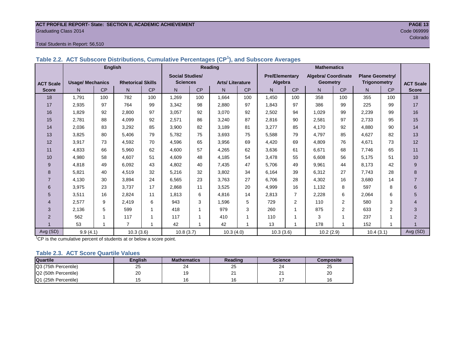# **ACT PROFILE REPORT- State: SECTION II, ACADEMIC ACHIEVEMENT PAGE 13** Graduating Class 2014 Code 069999

# Total Students in Report: 56,510

|  | Table 2.2. ACT Subscore Distributions, Cumulative Percentages (CP <sup>'</sup> ), and Subscore Averages |  |
|--|---------------------------------------------------------------------------------------------------------|--|
|  |                                                                                                         |  |

|                  | <b>English</b>          |                       |                          |     | Reading                |           |                        |           | <b>Mathematics</b>    |           |                            |                |                        |     |                  |
|------------------|-------------------------|-----------------------|--------------------------|-----|------------------------|-----------|------------------------|-----------|-----------------------|-----------|----------------------------|----------------|------------------------|-----|------------------|
|                  |                         |                       |                          |     | <b>Social Studies/</b> |           |                        |           | <b>Pre/Elementary</b> |           | <b>Algebra/ Coordinate</b> |                | <b>Plane Geometry/</b> |     |                  |
| <b>ACT Scale</b> | <b>Usage/ Mechanics</b> |                       | <b>Rhetorical Skills</b> |     | <b>Sciences</b>        |           | <b>Arts/Literature</b> |           | Algebra               |           | <b>Geometry</b>            |                | <b>Trigonometry</b>    |     | <b>ACT Scale</b> |
| <b>Score</b>     | N.                      | CP                    | N                        | CP  | N.                     | <b>CP</b> | N.                     | <b>CP</b> | N.                    | <b>CP</b> | N                          | <b>CP</b>      | N.                     | CP  | <b>Score</b>     |
| 18               | 1,791                   | 100                   | 782                      | 100 | 1,269                  | 100       | 1,664                  | 100       | 1,450                 | 100       | 358                        | 100            | 355                    | 100 | 18               |
| 17               | 2,935                   | 97                    | 764                      | 99  | 3,342                  | 98        | 2.880                  | 97        | 1,843                 | 97        | 386                        | 99             | 225                    | 99  | 17               |
| 16               | 1,829                   | 92                    | 2,800                    | 97  | 3,057                  | 92        | 3,070                  | 92        | 2,502                 | 94        | 1,029                      | 99             | 2,239                  | 99  | 16               |
| 15               | 2,781                   | 88                    | 4,099                    | 92  | 2,571                  | 86        | 3,240                  | 87        | 2,816                 | 90        | 2,581                      | 97             | 2,733                  | 95  | 15               |
| 14               | 2,036                   | 83                    | 3,292                    | 85  | 3,900                  | 82        | 3,189                  | 81        | 3,277                 | 85        | 4,170                      | 92             | 4,880                  | 90  | 14               |
| 13               | 3,825                   | 80                    | 5,406                    | 79  | 5,782                  | 75        | 3,693                  | 75        | 5,588                 | 79        | 4,797                      | 85             | 4,627                  | 82  | 13               |
| 12               | 3,917                   | 73                    | 4,592                    | 70  | 4,596                  | 65        | 3,956                  | 69        | 4,420                 | 69        | 4,809                      | 76             | 4,671                  | 73  | 12               |
| 11               | 4,833                   | 66                    | 5,960                    | 62  | 4,600                  | 57        | 4,265                  | 62        | 3,636                 | 61        | 6,671                      | 68             | 7,746                  | 65  | 11               |
| 10               | 4,980                   | 58                    | 4,607                    | 51  | 4,609                  | 48        | 4,185                  | 54        | 3,478                 | 55        | 6,608                      | 56             | 5,175                  | 51  | 10               |
| 9                | 4,818                   | 49                    | 6,092                    | 43  | 4,802                  | 40        | 7.435                  | 47        | 5,706                 | 49        | 9,961                      | 44             | 8,173                  | 42  | 9                |
| 8                | 5,821                   | 40                    | 4,519                    | 32  | 5,216                  | 32        | 3,802                  | 34        | 6,164                 | 39        | 6,312                      | 27             | 7,743                  | 28  | 8                |
| $\overline{7}$   | 4,130                   | 30                    | 3,894                    | 24  | 6,565                  | 23        | 3,763                  | 27        | 6,706                 | 28        | 4,302                      | 16             | 3,680                  | 14  | $\overline{7}$   |
| 6                | 3,975                   | 23                    | 3,737                    | 17  | 2,868                  | 11        | 3,525                  | 20        | 4,999                 | 16        | 1,132                      | 8              | 597                    | 8   | 6                |
| 5                | 3,511                   | 16                    | 2,824                    | 11  | 1,813                  | 6         | 4,816                  | 14        | 2,813                 |           | 2,228                      | 6              | 2,064                  | 6   | 5                |
| $\overline{4}$   | 2,577                   | 9                     | 2,419                    | 6   | 943                    | 3         | 1,596                  | 5         | 729                   | 2         | 110                        | $\overline{2}$ | 580                    | 3   | $\overline{4}$   |
| 3                | 2,136                   | 5                     | 599                      | 1   | 418                    |           | 979                    | 3         | 260                   |           | 875                        | $\overline{2}$ | 633                    | 2   | 3                |
| 2                | 562                     |                       | 117                      |     | 117                    |           | 410                    |           | 110                   |           | 3                          |                | 237                    |     | 2                |
|                  | 53                      | 1                     | $\overline{7}$           | 1   | 42                     |           | 42                     |           | 13                    |           | 178                        |                | 152                    |     |                  |
| Avg (SD)         |                         | 9.9(4.1)<br>10.3(3.6) |                          |     | 10.8(3.7)              |           | 10.3(4.0)              |           | 10.3(3.6)             |           | 10.2(2.9)                  |                | 10.4(3.1)              |     | Avg (SD)         |

<sup>1</sup>CP is the cumulative percent of students at or below a score point.

# **Table 2.3. ACT Score Quartile Values**

| <b>Quartile</b>      | Enalish | <b>Mathematics</b> | Reading  | <b>Science</b> | Composite |
|----------------------|---------|--------------------|----------|----------------|-----------|
| Q3 (75th Percentile) | 25      | 24                 | ~~<br>25 | 24             | ن∠        |
| Q2 (50th Percentile) | 20      |                    | n.<br>ے  | ິ              | 20        |
| Q1 (25th Percentile) |         |                    |          |                |           |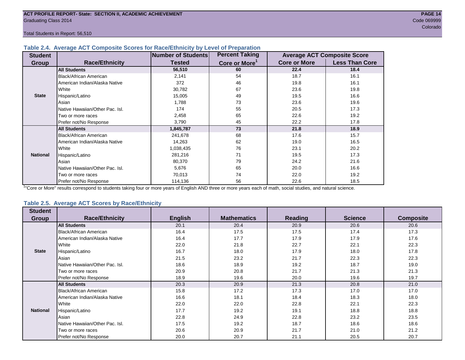Total Students in Report: 56,510

# **Table 2.4. Average ACT Composite Scores for Race/Ethnicity by Level of Preparation**

| <b>Student</b>  |                                 | <b>Number of Students</b> | <b>Percent Taking</b>     |                     | <b>Average ACT Composite Score</b> |
|-----------------|---------------------------------|---------------------------|---------------------------|---------------------|------------------------------------|
| <b>Group</b>    | <b>Race/Ethnicity</b>           | <b>Tested</b>             | Core or More <sup>1</sup> | <b>Core or More</b> | <b>Less Than Core</b>              |
|                 | <b>All Students</b>             | 56,510                    | 60                        | 22.4                | 18.4                               |
|                 | <b>Black/African American</b>   | 2,141                     | 54                        | 18.7                | 16.1                               |
|                 | American Indian/Alaska Native   | 372                       | 46                        | 19.8                | 16.1                               |
|                 | White                           | 30,782                    | 67                        | 23.6                | 19.8                               |
| <b>State</b>    | Hispanic/Latino                 | 15,005                    | 49                        | 19.5                | 16.6                               |
|                 | Asian                           | 1,788                     | 73                        | 23.6                | 19.6                               |
|                 | Native Hawaiian/Other Pac. Isl. | 174                       | 55                        | 20.5                | 17.3                               |
|                 | I Two or more races             | 2,458                     | 65                        | 22.6                | 19.2                               |
|                 | Prefer not/No Response          | 3,790                     | 45                        | 22.2                | 17.8                               |
|                 | <b>All Students</b>             | 1,845,787                 | 73                        | 21.8                | 18.9                               |
|                 | Black/African American          | 241,678                   | 68                        | 17.6                | 15.7                               |
|                 | American Indian/Alaska Native   | 14,263                    | 62                        | 19.0                | 16.5                               |
|                 | <b>White</b>                    | 1,038,435                 | 76                        | 23.1                | 20.2                               |
| <b>National</b> | Hispanic/Latino                 | 281,216                   | 71                        | 19.5                | 17.3                               |
|                 | Asian                           | 80,370                    | 79                        | 24.2                | 21.6                               |
|                 | Native Hawaiian/Other Pac. Isl. | 5,676                     | 65                        | 20.0                | 16.6                               |
|                 | Two or more races               | 70,013                    | 74                        | 22.0                | 19.2                               |
|                 | Prefer not/No Response          | 114,136                   | 56                        | 22.6                | 18.5                               |

<sup>1</sup>"Core or More" results correspond to students taking four or more years of English AND three or more years each of math, social studies, and natural science.

# **Table 2.5. Average ACT Scores by Race/Ethnicity**

| <b>Student</b>  |                                 |                |                    |                |                |                  |
|-----------------|---------------------------------|----------------|--------------------|----------------|----------------|------------------|
| Group           | <b>Race/Ethnicity</b>           | <b>English</b> | <b>Mathematics</b> | <b>Reading</b> | <b>Science</b> | <b>Composite</b> |
|                 | <b>All Students</b>             | 20.1           | 20.4               | 20.9           | 20.6           | 20.6             |
|                 | Black/African American          | 16.4           | 17.5               | 17.5           | 17.4           | 17.3             |
|                 | American Indian/Alaska Native   | 16.4           | 17.7               | 17.9           | 17.9           | 17.6             |
|                 | White                           | 22.0           | 21.8               | 22.7           | 22.1           | 22.3             |
| <b>State</b>    | Hispanic/Latino                 | 16.7           | 18.0               | 17.9           | 18.0           | 17.8             |
|                 | Asian                           | 21.5           | 23.2               | 21.7           | 22.3           | 22.3             |
|                 | Native Hawaiian/Other Pac. Isl. | 18.6           | 18.9               | 19.2           | 18.7           | 19.0             |
|                 | Two or more races               | 20.9           | 20.8               | 21.7           | 21.3           | 21.3             |
|                 | Prefer not/No Response          | 18.9           | 19.6               | 20.0           | 19.6           | 19.7             |
|                 | <b>All Students</b>             | 20.3           | 20.9               | 21.3           | 20.8           | 21.0             |
|                 | <b>Black/African American</b>   | 15.8           | 17.2               | 17.3           | 17.0           | 17.0             |
|                 | American Indian/Alaska Native   | 16.6           | 18.1               | 18.4           | 18.3           | 18.0             |
|                 | White                           | 22.0           | 22.0               | 22.8           | 22.1           | 22.3             |
| <b>National</b> | Hispanic/Latino                 | 17.7           | 19.2               | 19.1           | 18.8           | 18.8             |
|                 | Asian                           | 22.8           | 24.9               | 22.8           | 23.2           | 23.5             |
|                 | Native Hawaiian/Other Pac. Isl. | 17.5           | 19.2               | 18.7           | 18.6           | 18.6             |
|                 | Two or more races               | 20.6           | 20.9               | 21.7           | 21.0           | 21.2             |
|                 | Prefer not/No Response          | 20.0           | 20.7               | 21.1           | 20.5           | 20.7             |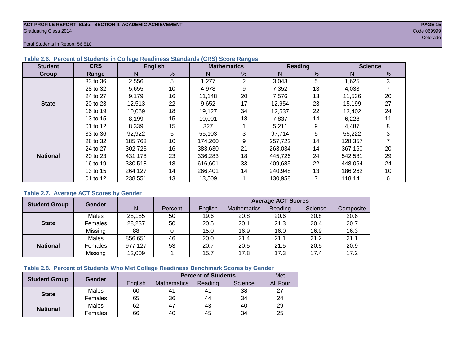# **ACT PROFILE REPORT- State: SECTION II, ACADEMIC ACHIEVEMENT PAGE 15** Graduating Class 2014 Code 069999

Total Students in Report: 56,510

| <b>Student</b>  | <b>CRS</b> | <b>English</b> |    |         | <b>Mathematics</b> |         | Reading | <b>Science</b> |    |  |
|-----------------|------------|----------------|----|---------|--------------------|---------|---------|----------------|----|--|
| Group           | Range      | N              | %  | N       | %                  | N       | %       | N              | %  |  |
|                 | 33 to 36   | 2,556          | 5  | 1,277   | 2                  | 3,043   | 5       | 1,625          | 3  |  |
|                 | 28 to 32   | 5,655          | 10 | 4,978   | 9                  | 7,352   | 13      | 4,033          |    |  |
|                 | 24 to 27   | 9,179          | 16 | 11.148  | 20                 | 7,576   | 13      | 11,536         | 20 |  |
| <b>State</b>    | 20 to 23   | 12,513         | 22 | 9,652   | 17                 | 12,954  | 23      | 15,199         | 27 |  |
|                 | 16 to 19   | 10,069         | 18 | 19,127  | 34                 | 12,537  | 22      | 13,402         | 24 |  |
|                 | 13 to 15   | 8,199          | 15 | 10,001  | 18                 | 7,837   | 14      | 6,228          | 11 |  |
|                 | 01 to 12   | 8,339          | 15 | 327     |                    | 5,211   | 9       | 4,487          | 8  |  |
|                 | 33 to 36   | 92,922         | 5  | 55,103  | 3                  | 97,714  | 5       | 55,222         | 3  |  |
|                 | 28 to 32   | 185,768        | 10 | 174,260 | 9                  | 257,722 | 14      | 128,357        |    |  |
|                 | 24 to 27   | 302,723        | 16 | 383,630 | 21                 | 263,034 | 14      | 367.160        | 20 |  |
| <b>National</b> | 20 to 23   | 431,178        | 23 | 336,283 | 18                 | 445,726 | 24      | 542,581        | 29 |  |
|                 | 16 to 19   | 330.518        | 18 | 616,601 | 33                 | 409.685 | 22      | 448,064        | 24 |  |
|                 | 13 to 15   | 264,127        | 14 | 266,401 | 14                 | 240,948 | 13      | 186,262        | 10 |  |
|                 | 01 to 12   | 238,551        | 13 | 13,509  |                    | 130,958 |         | 118,141        | 6  |  |

# **Table 2.6. Percent of Students in College Readiness Standards (CRS) Score Ranges**

# **Table 2.7. Average ACT Scores by Gender**

| <b>Student Group</b> | Gender         |         |         |         |             | <b>Average ACT Scores</b> |         |           |
|----------------------|----------------|---------|---------|---------|-------------|---------------------------|---------|-----------|
|                      |                | N       | Percent | English | Mathematics | Reading                   | Science | Composite |
|                      | Males          | 28,185  | 50      | 19.6    | 20.8        | 20.6                      | 20.8    | 20.6      |
| <b>State</b>         | <b>Females</b> | 28,237  | 50      | 20.5    | 20.1        | 21.3                      | 20.4    | 20.7      |
|                      | Missing        | 88      |         | 15.0    | 16.9        | 16.0                      | 16.9    | 16.3      |
|                      | Males          | 856,651 | 46      | 20.0    | 21.4        | 21.1                      | 21.2    | 21.1      |
| <b>National</b>      | <b>Females</b> | 977,127 | 53      | 20.7    | 20.5        | 21.5                      | 20.5    | 20.9      |
|                      | Missing        | 12,009  |         | 15.7    | 17.8        | 17.3                      | 17.4    | 17.2      |

# **Table 2.8. Percent of Students Who Met College Readiness Benchmark Scores by Gender**

| <b>Student Group</b> | Gender  |         | <b>Percent of Students</b> |         |         |                 |  |  |  |  |  |
|----------------------|---------|---------|----------------------------|---------|---------|-----------------|--|--|--|--|--|
|                      |         | English | Mathematics                | Reading | Science | <b>All Four</b> |  |  |  |  |  |
| <b>State</b>         | Males   | 60      | 41                         | 41      | 38      | 27              |  |  |  |  |  |
|                      | Females | 65      | 36                         | 44      | 34      | 24              |  |  |  |  |  |
| <b>National</b>      | Males   | 62      | 47                         | 43      | 40      | 29              |  |  |  |  |  |
|                      | Females | 66      | 40                         | 45      | 34      | 25              |  |  |  |  |  |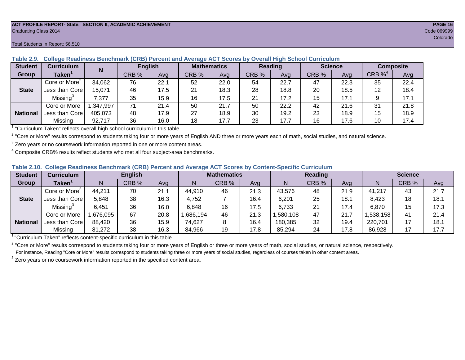#### **ACT PROFILE REPORT- State: SECTION II, ACADEMIC ACHIEVEMENT PAGE 16** Graduating Class 2014 Code 069999

#### Total Students in Report: 56,510

| <b>Student</b>  | <b>Curriculum</b>                                                        | N        |       | <b>English</b> | <b>Mathematics</b> |      | Reading |      |       | <b>Science</b> | <b>Composite</b> |      |
|-----------------|--------------------------------------------------------------------------|----------|-------|----------------|--------------------|------|---------|------|-------|----------------|------------------|------|
| Group           | Taken $^{\rm \texttt{1}}$                                                |          | CRB % | Avg            | CRB %              | Ava  | CRB %   | Avg  | CRB % | Avg            | CRB $\%^4$       | Avg  |
|                 | Core or More <sup>2</sup>                                                | 34,062   | 76    | 22.1           | 52                 | 22.0 | 54      | 22.7 | 47    | 22.3           | 35               | 22.4 |
| <b>State</b>    | Less than Core                                                           | 15.071   | 46    | 17.5           | 21                 | 18.3 | 28      | 18.8 | 20    | 18.5           | 12               | 18.4 |
|                 | Missing <sup>3</sup>                                                     | 7.377    | 35    | 15.9           | 16                 | 17.5 | 21      | 17.2 | 15    | 17.1           |                  | 17.1 |
|                 | Core or More                                                             | ,347,997 | 71    | 21.4           | 50                 | 21.7 | 50      | 22.2 | 42    | 21.6           | 31               | 21.8 |
| <b>National</b> | Less than Core                                                           | 405,073  | 48    | 17.9           | 27                 | 18.9 | 30      | 19.2 | 23    | 18.9           | 15               | 18.9 |
|                 | Missing                                                                  | 92.717   | 36    | 16.0           | 18                 | 17.7 | 23      | 17.7 | 16    | 17.6           | 10               | 17.4 |
|                 | "Curriculum Token" reflecte overall bigh school ourriculum in this toble |          |       |                |                    |      |         |      |       |                |                  |      |

**Table 2.9. College Readiness Benchmark (CRB) Percent and Average ACT Scores by Overall High School Curriculum**

"Curriculum Taken" reflects overall high school curriculum in this table.

 $^2$  "Core or More" results correspond to students taking four or more years of English AND three or more years each of math, social studies, and natural science.

 $3$  Zero years or no coursework information reported in one or more content areas.

 $4$  Composite CRB% results reflect students who met all four subject-area benchmarks.

|  |  |  |  |  | Table 2.10. College Readiness Benchmark (CRB) Percent and Average ACT Scores by Content-Specific Curriculum |
|--|--|--|--|--|-------------------------------------------------------------------------------------------------------------|
|--|--|--|--|--|-------------------------------------------------------------------------------------------------------------|

| <b>Student</b>  | Curriculum                    | <b>English</b> |       |      | <b>Mathematics</b> |       |      |          | Reading |      | <b>Science</b> |       |      |
|-----------------|-------------------------------|----------------|-------|------|--------------------|-------|------|----------|---------|------|----------------|-------|------|
| Group           | $\mathsf{Taken}^{\mathsf{T}}$ |                | CRB % | Avg  | N                  | CRB % | Avg  | N        | CRB %   | Avg  | N              | CRB % | Avg  |
|                 | Core or More <sup>2</sup>     | 44,211         | 70    | 21.1 | 44,910             | 46    | 21.3 | 43,576   | 48      | 21.9 | 41,217         | 43    | 21.7 |
| <b>State</b>    | Less than Core                | 5,848          | 38    | 16.3 | 4,752              |       | 16.4 | 6,201    | 25      | 18.1 | 8,423          | 18    | 18.1 |
|                 | Missing <sup>3</sup>          | 6,451          | 36    | 16.0 | 6,848              | 16    | 17.5 | 6,733    | 21      | 17.4 | 6,870          | 15    | 17.3 |
|                 | Core or More                  | .676,095       | 67    | 20.8 | ,686,194           | 46    | 21.3 | ,580,108 | 47      | 21.7 | ,538,158       | 41    | 21.4 |
| <b>National</b> | Less than Corel               | 88,420         | 36    | 15.9 | 74,627             |       | 16.4 | 180,385  | 32      | 19.4 | 220,701        |       | 18.1 |
|                 | Missing                       | 81,272         | 38    | 16.3 | 84,966             | 19    | 17.8 | 85,294   | 24      | 17.8 | 86,928         |       | 17.7 |

<sup>1</sup> "Curriculum Taken" reflects content-specific curriculum in this table.

<sup>2</sup> "Core or More" results correspond to students taking four or more years of English or three or more years of math, social studies, or natural science, respectively. For instance, Reading "Core or More" results correspond to students taking three or more years of social studies, regardless of courses taken in other content areas.

 $3$  Zero years or no coursework information reported in the specified content area.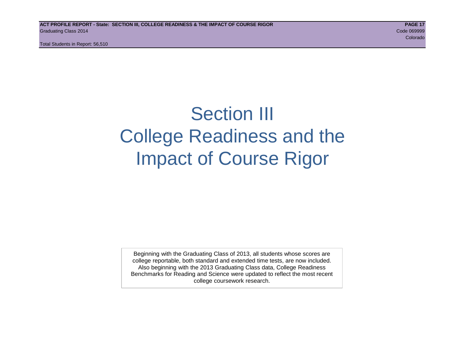Total Students in Report: 56,510

# Section III College Readiness and the Impact of Course Rigor

Beginning with the Graduating Class of 2013, all students whose scores are college reportable, both standard and extended time tests, are now included. Also beginning with the 2013 Graduating Class data, College Readiness Benchmarks for Reading and Science were updated to reflect the most recent college coursework research.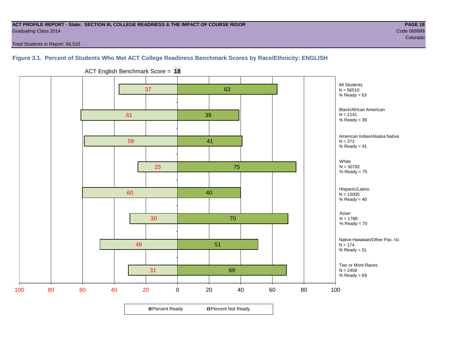# **ACT PROFILE REPORT - State: SECTION III, COLLEGE READINESS & THE IMPACT OF COURSE RIGOR PAGE 18** Graduating Class 2014 Code 069999

e de la construcción de la construcción de la construcción de la construcción de la construcción de la construcción

Total Students in Report: 56,510

# **Figure 3.1. Percent of Students Who Met ACT College Readiness Benchmark Scores by Race/Ethnicity: ENGLISH**



ACT English Benchmark Score = **18**

**□ Percent Ready DPercent Not Ready**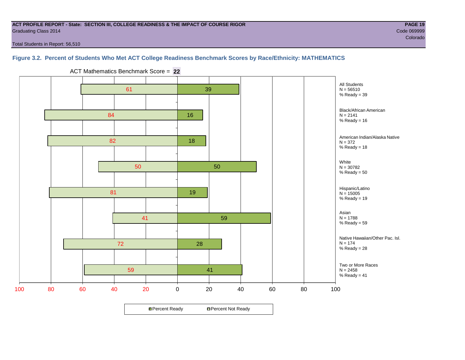# **ACT PROFILE REPORT - State: SECTION III, COLLEGE READINESS & THE IMPACT OF COURSE RIGOR PAGE 19** Graduating Class 2014 Code 069999

Total Students in Report: 56,510

# **Figure 3.2. Percent of Students Who Met ACT College Readiness Benchmark Scores by Race/Ethnicity: MATHEMATICS**



ACT Mathematics Benchmark Score = **22**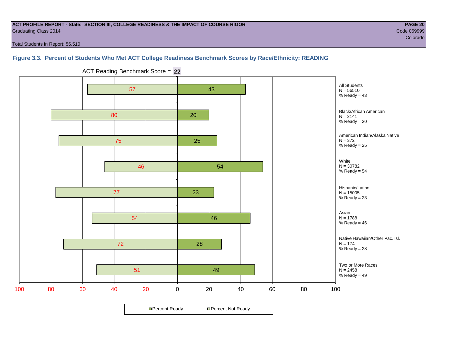# **ACT PROFILE REPORT - State: SECTION III, COLLEGE READINESS & THE IMPACT OF COURSE RIGOR PAGE 20** Graduating Class 2014 Code 069999

e de la construcción de la construcción de la construcción de la construcción de la construcción de la construcción

Total Students in Report: 56,510

# **Figure 3.3. Percent of Students Who Met ACT College Readiness Benchmark Scores by Race/Ethnicity: READING**



ACT Reading Benchmark Score = **22**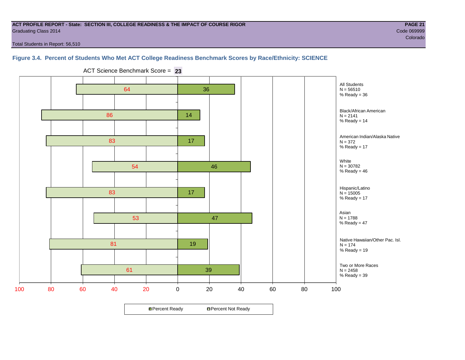# **ACT PROFILE REPORT - State: SECTION III, COLLEGE READINESS & THE IMPACT OF COURSE RIGOR PAGE 21** Graduating Class 2014 Code 069999

e de la construcción de la construcción de la construcción de la construcción de la construcción de la construcción

Total Students in Report: 56,510

# **Figure 3.4. Percent of Students Who Met ACT College Readiness Benchmark Scores by Race/Ethnicity: SCIENCE**



ACT Science Benchmark Score = **23**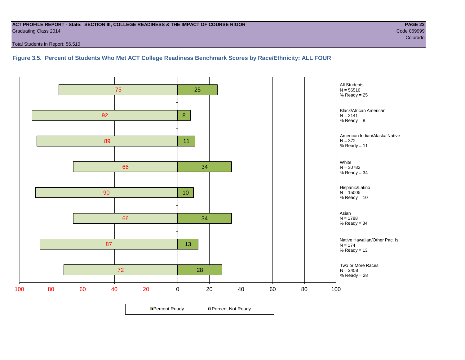# **ACT PROFILE REPORT - State: SECTION III, COLLEGE READINESS & THE IMPACT OF COURSE RIGOR PAGE 22** Graduating Class 2014 Code 069999

Total Students in Report: 56,510

**Figure 3.5. Percent of Students Who Met ACT College Readiness Benchmark Scores by Race/Ethnicity: ALL FOUR**

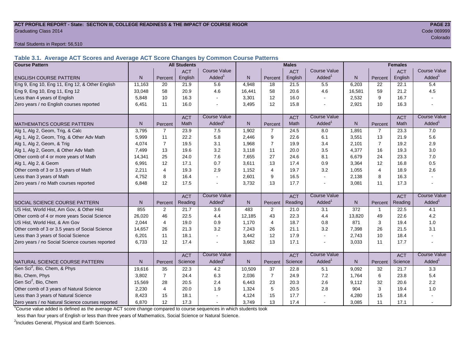# **ACT PROFILE REPORT - State: SECTION III, COLLEGE READINESS & THE IMPACT OF COURSE RIGOR PAGE 23** Graduating Class 2014 Code 069999

Total Students in Report: 56,510

**Table 3.1. Average ACT Scores and Average ACT Score Changes by Common Course Patterns**

| <b>Course Pattern</b>                            |                |                | <b>All Students</b> |                     |              |                | <b>Males</b> |                     | <b>Females</b> |                |            |                        |
|--------------------------------------------------|----------------|----------------|---------------------|---------------------|--------------|----------------|--------------|---------------------|----------------|----------------|------------|------------------------|
|                                                  |                |                | <b>ACT</b>          | <b>Course Value</b> |              |                | <b>ACT</b>   | <b>Course Value</b> |                |                | <b>ACT</b> | <b>Course Value</b>    |
| <b>ENGLISH COURSE PATTERN</b>                    | N.             | Percent        | English             | Added               | N.           | Percent        | English      | Added               | N              | Percent        | English    | A d d e d <sup>1</sup> |
| Eng 9, Eng 10, Eng 11, Eng 12, & Other English   | 11,163         | 20             | 21.9                | 5.6                 | 4,948        | 18             | 21.5         | 5.5                 | 6,203          | 22             | 22.1       | 5.4                    |
| Eng 9, Eng 10, Eng 11, Eng 12                    | 33.048         | 58             | 20.9                | 4.6                 | 16,441       | 58             | 20.6         | 4.6                 | 16,581         | 59             | 21.2       | 4.5                    |
| Less than 4 years of English                     | 5,848          | 10             | 16.3                |                     | 3,301        | 12             | 16.0         | $\sim$              | 2,532          | 9              | 16.7       |                        |
| Zero years / no English courses reported         | 6,451          | 11             | 16.0                |                     | 3,495        | 12             | 15.8         | $\blacksquare$      | 2,921          | 10             | 16.3       |                        |
|                                                  |                |                | <b>ACT</b>          | <b>Course Value</b> |              |                | <b>ACT</b>   | <b>Course Value</b> |                |                | <b>ACT</b> | <b>Course Value</b>    |
| <b>MATHEMATICS COURSE PATTERN</b>                | N.             | Percent        | Math                | Added               | $\mathsf{N}$ | Percent        | Math         | Added <sup>1</sup>  | $\mathsf{N}$   | Percent        | Math       | A d d e d <sup>1</sup> |
| Alg 1, Alg 2, Geom, Trig, & Calc                 | 3.795          | $\overline{7}$ | 23.9                | 7.5                 | 1,902        | $\overline{7}$ | 24.5         | 8.0                 | 1,891          | $\overline{7}$ | 23.3       | 7.0                    |
| Alg 1, Alg 2, Geom, Trig, & Other Adv Math       | 5,999          | 11             | 22.2                | 5.8                 | 2,446        | 9              | 22.6         | 6.1                 | 3,551          | 13             | 21.9       | 5.6                    |
| Alg 1, Alg 2, Geom, & Trig                       | 4.074          | $\overline{7}$ | 19.5                | 3.1                 | 1,968        | $\overline{7}$ | 19.9         | 3.4                 | 2,101          | $\overline{7}$ | 19.2       | 2.9                    |
| Alg 1, Alg 2, Geom, & Other Adv Math             | 7,499          | 13             | 19.6                | 3.2                 | 3,118        | 11             | 20.0         | 3.5                 | 4,377          | 16             | 19.3       | 3.0                    |
| Other comb of 4 or more years of Math            | 14,341         | 25             | 24.0                | 7.6                 | 7,655        | 27             | 24.6         | 8.1                 | 6,679          | 24             | 23.3       | $7.0$                  |
| Alg 1, Alg 2, & Geom                             | 6,991          | 12             | 17.1                | 0.7                 | 3,611        | 13             | 17.4         | 0.9                 | 3,364          | 12             | 16.8       | 0.5                    |
| Other comb of 3 or 3.5 years of Math             | 2,211          | 4              | 19.3                | 2.9                 | 1,152        | $\overline{4}$ | 19.7         | 3.2                 | 1,055          | $\overline{4}$ | 18.9       | 2.6                    |
| Less than 3 years of Math                        | 4.752          | 8              | 16.4                |                     | 2,601        | 9              | 16.5         | $\sim$              | 2,138          | 8              | 16.3       |                        |
| Zero years / no Math courses reported            | 6.848          | 12             | 17.5                |                     | 3,732        | 13             | 17.7         | $\sim$              | 3,081          | 11             | 17.3       |                        |
|                                                  |                |                | <b>ACT</b>          | <b>Course Value</b> |              |                | <b>ACT</b>   | <b>Course Value</b> |                |                | <b>ACT</b> | <b>Course Value</b>    |
| SOCIAL SCIENCE COURSE PATTERN                    | N <sub>1</sub> | Percent        | Reading             | Added               | $\mathsf{N}$ | Percent        | Reading      | Added <sup>1</sup>  | N              | Percent        | Reading    | Added <sup>1</sup>     |
| US Hist, World Hist, Am Gov, & Other Hist        | 855            | $\overline{2}$ | 21.7                | 3.6                 | 483          | 2              | 21.0         | 3.1                 | 372            | 1              | 22.5       | 4.1                    |
| Other comb of 4 or more years Social Science     | 26,020         | 46             | 22.5                | 4.4                 | 12,185       | 43             | 22.3         | 4.4                 | 13,820         | 49             | 22.6       | 4.2                    |
| US Hist, World Hist, & Am Gov                    | 2,044          | 4              | 19.0                | 0.9                 | 1,170        | $\overline{4}$ | 18.7         | 0.8                 | 871            | 3              | 19.4       | 1.0                    |
| Other comb of 3 or 3.5 years of Social Science   | 14,657         | 26             | 21.3                | 3.2                 | 7,243        | 26             | 21.1         | 3.2                 | 7,398          | 26             | 21.5       | 3.1                    |
| Less than 3 years of Social Science              | 6,201          | 11             | 18.1                |                     | 3,442        | 12             | 17.9         | $\sim$              | 2,743          | 10             | 18.4       |                        |
| Zero years / no Social Science courses reported  | 6,733          | 12             | 17.4                |                     | 3,662        | 13             | 17.1         | $\sim$              | 3,033          | 11             | 17.7       |                        |
|                                                  |                |                | <b>ACT</b>          | <b>Course Value</b> |              |                | <b>ACT</b>   | <b>Course Value</b> |                |                | <b>ACT</b> | <b>Course Value</b>    |
| NATURAL SCIENCE COURSE PATTERN                   | N              | Percent        | Science             | Added               | $\mathsf{N}$ | Percent        | Science      | Added <sup>1</sup>  | $\mathsf{N}$   | Percent        | Science    | A d d e d <sup>1</sup> |
| Gen Sci <sup>2</sup> , Bio, Chem, & Phys         | 19,616         | 35             | 22.3                | 4.2                 | 10,509       | 37             | 22.8         | 5.1                 | 9,092          | 32             | 21.7       | 3.3                    |
| Bio, Chem, Phys                                  | 3,802          | $\overline{7}$ | 24.4                | 6.3                 | 2,036        | $\overline{7}$ | 24.9         | 7.2                 | 1,764          | 6              | 23.8       | 5.4                    |
| Gen Sci <sup>2</sup> , Bio, Chem                 | 15,569         | 28             | 20.5                | 2.4                 | 6,443        | 23             | 20.3         | 2.6                 | 9,112          | 32             | 20.6       | 2.2                    |
| Other comb of 3 years of Natural Science         | 2,230          | 4              | 20.0                | 1.9                 | 1,324        | 5              | 20.5         | 2.8                 | 904            | 3              | 19.4       | 1.0                    |
| Less than 3 years of Natural Science             | 8,423          | 15             | 18.1                |                     | 4,124        | 15             | 17.7         |                     | 4,280          | 15             | 18.4       |                        |
| Zero years / no Natural Science courses reported | 6,870          | 12             | 17.3                |                     | 3,749        | 13             | 17.4         | $\sim$              | 3,085          | 11             | 17.1       |                        |

<sup>1</sup>Course value added is defined as the average ACT score change compared to course sequences in which students took

less than four years of English or less than three years of Mathematics, Social Science or Natural Science.

<sup>2</sup>Includes General, Physical and Earth Sciences.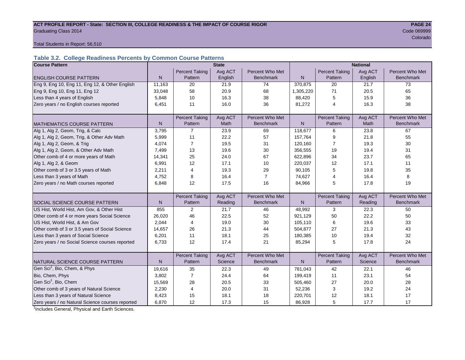# ACT PROFILE REPORT - State: SECTION III, COLLEGE READINESS & THE IMPACT OF COURSE RIGOR **PAGE 24 Graduating Class 2014** Code 069999 Code 069999 Code 069999 Code 069999 Code 069999 Code 069999 Code 069999 Code 0

e de la construcción de la construcción de la construcción de la construcción de la construcción de la construcción

Total Students in Report: 56,510

# **Table 3.2. College Readiness Percents by Common Course Patterns**

| <b>Course Pattern</b>                            | <b>State</b> |                       |             |                  |              | <b>National</b>       |         |                  |  |  |
|--------------------------------------------------|--------------|-----------------------|-------------|------------------|--------------|-----------------------|---------|------------------|--|--|
|                                                  |              | <b>Percent Taking</b> | Avg ACT     | Percent Who Met  |              | <b>Percent Taking</b> | Avg ACT | Percent Who Met  |  |  |
| <b>ENGLISH COURSE PATTERN</b>                    | $\mathsf{N}$ | Pattern               | English     | <b>Benchmark</b> | N            | Pattern               | English | <b>Benchmark</b> |  |  |
| Eng 9, Eng 10, Eng 11, Eng 12, & Other English   | 11,163       | 20                    | 21.9        | 74               | 370,875      | 20                    | 21.7    | 73               |  |  |
| Eng 9, Eng 10, Eng 11, Eng 12                    | 33,048       | 58                    | 20.9        | 68               | 1,305,220    | 71                    | 20.5    | 65               |  |  |
| Less than 4 years of English                     | 5,848        | 10                    | 16.3        | 38               | 88,420       | 5                     | 15.9    | 36               |  |  |
| Zero years / no English courses reported         | 6,451        | 11                    | 16.0        | 36               | 81,272       | 4                     | 16.3    | 38               |  |  |
|                                                  |              |                       |             |                  |              |                       |         |                  |  |  |
|                                                  |              | <b>Percent Taking</b> | Avg ACT     | Percent Who Met  |              | <b>Percent Taking</b> | Avg ACT | Percent Who Met  |  |  |
| <b>MATHEMATICS COURSE PATTERN</b>                | N            | Pattern               | <b>Math</b> | <b>Benchmark</b> | N            | Pattern               | Math    | <b>Benchmark</b> |  |  |
| Alg 1, Alg 2, Geom, Trig, & Calc                 | 3,795        | 7                     | 23.9        | 69               | 118,677      | 6                     | 23.8    | 67               |  |  |
| Alg 1, Alg 2, Geom, Trig, & Other Adv Math       | 5,999        | 11                    | 22.2        | 57               | 157,764      | 9                     | 21.8    | 55               |  |  |
| Alg 1, Alg 2, Geom, & Trig                       | 4,074        | $\overline{7}$        | 19.5        | 31               | 120,160      | 7                     | 19.3    | 30               |  |  |
| Alg 1, Alg 2, Geom, & Other Adv Math             | 7,499        | 13                    | 19.6        | 30               | 356,555      | 19                    | 19.4    | 31               |  |  |
| Other comb of 4 or more years of Math            | 14,341       | 25                    | 24.0        | 67               | 622,896      | 34                    | 23.7    | 65               |  |  |
| Alg 1, Alg 2, & Geom                             | 6,991        | 12                    | 17.1        | 10               | 220,037      | 12                    | 17.1    | 11               |  |  |
| Other comb of 3 or 3.5 years of Math             | 2,211        | 4                     | 19.3        | 29               | 90,105       | 5                     | 19.8    | 35               |  |  |
| Less than 3 years of Math                        | 4,752        | 8                     | 16.4        | $\overline{7}$   | 74,627       | 4                     | 16.4    | 8                |  |  |
| Zero years / no Math courses reported            | 6,848        | 12                    | 17.5        | 16<br>84,966     |              | 5                     | 17.8    | 19               |  |  |
|                                                  |              |                       |             |                  |              |                       |         |                  |  |  |
|                                                  |              | <b>Percent Taking</b> | Avg ACT     | Percent Who Met  |              | <b>Percent Taking</b> | Avg ACT | Percent Who Met  |  |  |
| SOCIAL SCIENCE COURSE PATTERN                    | $\mathsf{N}$ | Pattern               | Reading     | <b>Benchmark</b> | $\mathsf{N}$ | Pattern               | Reading | <b>Benchmark</b> |  |  |
| US Hist, World Hist, Am Gov, & Other Hist        | 855          | 2                     | 21.7        | 46               | 48,992       | 3                     | 22.3    | 50               |  |  |
| Other comb of 4 or more years Social Science     | 26,020       | 46                    | 22.5        | 52               | 921,129      | 50                    | 22.2    | 50               |  |  |
| US Hist, World Hist, & Am Gov                    | 2,044        | 4                     | 19.0        | 30               | 105,110      | 6                     | 19.6    | 33               |  |  |
| Other comb of 3 or 3.5 years of Social Science   | 14,657       | 26                    | 21.3        | 44               | 504,877      | 27                    | 21.3    | 43               |  |  |
| Less than 3 years of Social Science              | 6,201        | 11                    | 18.1        | 25               | 180,385      | 10                    | 19.4    | 32               |  |  |
| Zero years / no Social Science courses reported  | 6,733        | 12                    | 17.4        | 21               | 85,294       | 5                     | 17.8    | 24               |  |  |
|                                                  |              |                       |             |                  |              |                       |         |                  |  |  |
|                                                  |              | <b>Percent Taking</b> | Avg ACT     | Percent Who Met  |              | <b>Percent Taking</b> | Avg ACT | Percent Who Met  |  |  |
| NATURAL SCIENCE COURSE PATTERN                   | N            | Pattern               | Science     | <b>Benchmark</b> | N            | Pattern               | Science | <b>Benchmark</b> |  |  |
| Gen Sci <sup>1</sup> , Bio, Chem, & Phys         | 19,616       | 35                    | 22.3        | 49               | 781,043      | 42                    | 22.1    | 46               |  |  |
| Bio, Chem, Phys                                  | 3,802        | $\overline{7}$        | 24.4        | 64               | 199,419      | 11                    | 23.1    | 54               |  |  |
| Gen Sci <sup>1</sup> , Bio, Chem                 | 15,569       | 28                    | 20.5        | 33               | 505,460      | 27                    | 20.0    | 28               |  |  |
| Other comb of 3 years of Natural Science         | 2,230        | $\overline{4}$        | 20.0        | 31               | 52,236       | 3                     | 19.2    | 24               |  |  |
| Less than 3 years of Natural Science             | 8,423        | 15                    | 18.1        | 18               | 220,701      | 12                    | 18.1    | 17               |  |  |
| Zero years / no Natural Science courses reported | 6,870        | 12                    | 17.3        | 15               | 86,928       | 5                     | 17.7    | 17               |  |  |

<sup>1</sup>Includes General, Physical and Earth Sciences.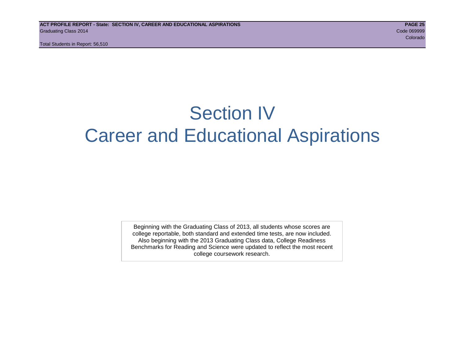Total Students in Report: 56,510

# Section IV Career and Educational Aspirations

Beginning with the Graduating Class of 2013, all students whose scores are college reportable, both standard and extended time tests, are now included. Also beginning with the 2013 Graduating Class data, College Readiness Benchmarks for Reading and Science were updated to reflect the most recent college coursework research.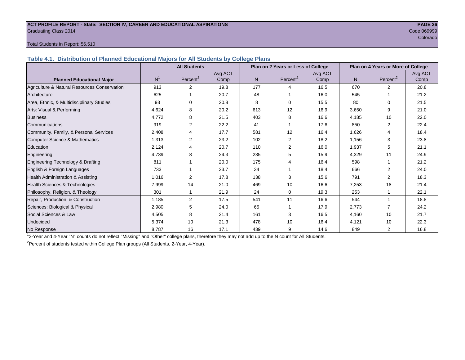# **ACT PROFILE REPORT - State: SECTION IV, CAREER AND EDUCATIONAL ASPIRATIONS PAGE 26** Graduating Class 2014 Code 069999

e de la construcción de la construcción de la construcción de la construcción de la construcción de la construcción

# Total Students in Report: 56,510

**Table 4.1. Distribution of Planned Educational Majors for All Students by College Plans**

|                                              |                | <b>All Students</b>  |         |                | Plan on 2 Years or Less of College |         | Plan on 4 Years or More of College |                      |         |  |
|----------------------------------------------|----------------|----------------------|---------|----------------|------------------------------------|---------|------------------------------------|----------------------|---------|--|
|                                              |                |                      | Avg ACT |                |                                    | Avg ACT |                                    |                      | Avg ACT |  |
| <b>Planned Educational Major</b>             | N <sup>1</sup> | Percent <sup>2</sup> | Comp    | N <sub>1</sub> | Percent <sup>2</sup>               | Comp    | N <sub>1</sub>                     | Percent <sup>2</sup> | Comp    |  |
| Agriculture & Natural Resources Conservation | 913            | 2                    | 19.8    | 177            | Δ                                  | 16.5    | 670                                | $\mathfrak{p}$       | 20.8    |  |
| Architecture                                 | 625            |                      | 20.7    | 48             |                                    | 16.0    | 545                                |                      | 21.2    |  |
| Area, Ethnic, & Multidisciplinary Studies    | 93             | $\Omega$             | 20.8    | 8              | $\Omega$                           | 15.5    | 80                                 | $\Omega$             | 21.5    |  |
| Arts: Visual & Performing                    | 4,624          | 8                    | 20.2    | 613            | 12                                 | 16.9    | 3,650                              | 9                    | 21.0    |  |
| <b>Business</b>                              | 4,772          | 8                    | 21.5    | 403            | 8                                  | 16.6    | 4,185                              | 10                   | 22.0    |  |
| Communications                               | 919            | 2                    | 22.2    | 41             |                                    | 17.6    | 850                                | $\overline{2}$       | 22.4    |  |
| Community, Family, & Personal Services       | 2,408          | 4                    | 17.7    | 581            | 12                                 | 16.4    | 1,626                              | 4                    | 18.4    |  |
| Computer Science & Mathematics               | 1,313          | 2                    | 23.2    | 102            | 2                                  | 18.2    | 1,156                              | 3                    | 23.8    |  |
| Education                                    | 2,124          | 4                    | 20.7    | 110            | 2                                  | 16.0    | 1,937                              | 5                    | 21.1    |  |
| Engineering                                  | 4,739          | 8                    | 24.3    | 235            | 5                                  | 15.9    | 4,329                              | 11                   | 24.9    |  |
| Engineering Technology & Drafting            | 811            |                      | 20.0    | 175            | 4                                  | 16.4    | 598                                | 1                    | 21.2    |  |
| English & Foreign Languages                  | 733            |                      | 23.7    | 34             |                                    | 18.4    | 666                                | $\mathfrak{p}$       | 24.0    |  |
| <b>Health Administration &amp; Assisting</b> | 1,016          | 2                    | 17.8    | 138            | 3                                  | 15.6    | 791                                | 2                    | 18.3    |  |
| Health Sciences & Technologies               | 7,999          | 14                   | 21.0    | 469            | 10                                 | 16.6    | 7,253                              | 18                   | 21.4    |  |
| Philosophy, Religion, & Theology             | 301            |                      | 21.9    | 24             | $\mathbf 0$                        | 19.3    | 253                                |                      | 22.1    |  |
| Repair, Production, & Construction           | 1,185          | 2                    | 17.5    | 541            | 11                                 | 16.6    | 544                                |                      | 18.8    |  |
| Sciences: Biological & Physical              | 2,980          | 5                    | 24.0    | 65             |                                    | 17.9    | 2,773                              | 7                    | 24.2    |  |
| Social Sciences & Law                        | 4,505          | 8                    | 21.4    | 161            | 3                                  | 16.5    | 4,160                              | 10                   | 21.7    |  |
| Undecided                                    | 5,374          | 10                   | 21.3    | 478            | 10                                 | 16.4    | 4,121                              | 10                   | 22.3    |  |
| No Response                                  | 8,787          | 16                   | 17.1    | 439            | 9                                  | 14.6    | 849                                | $\overline{2}$       | 16.8    |  |

1 2-Year and 4-Year "N" counts do not reflect "Missing" and "Other" college plans, therefore they may not add up to the N count for All Students.

<sup>2</sup> Percent of students tested within College Plan groups (All Students, 2-Year, 4-Year).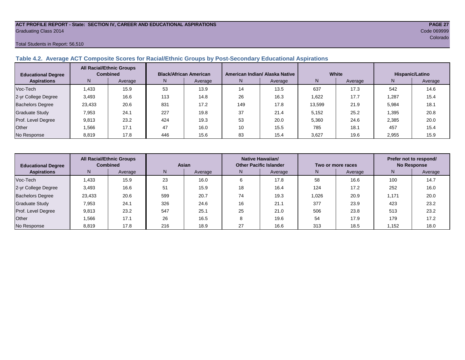# **ACT PROFILE REPORT - State: SECTION IV, CAREER AND EDUCATIONAL ASPIRATIONS PAGE 27** Graduating Class 2014 Code 069999

# Total Students in Report: 56,510

# **Table 4.2. Average ACT Composite Scores for Racial/Ethnic Groups by Post-Secondary Educational Aspirations**

| <b>Educational Degree</b> | <b>All Racial/Ethnic Groups</b><br><b>Combined</b> |         | <b>Black/African American</b> |         |     | American Indian/ Alaska Native |        | White   | Hispanic/Latino |         |  |
|---------------------------|----------------------------------------------------|---------|-------------------------------|---------|-----|--------------------------------|--------|---------|-----------------|---------|--|
| <b>Aspirations</b>        | N.                                                 | Average | N.                            | Average | N   | Average                        | Ν      | Average | N               | Average |  |
| Voc-Tech                  | 1.433                                              | 15.9    | 53                            | 13.9    | 14  | 13.5                           | 637    | 17.3    | 542             | 14.6    |  |
| 2-yr College Degree       | 3,493                                              | 16.6    | 113                           | 14.8    | 26  | 16.3                           | 1,622  | 17.7    | 1,287           | 15.4    |  |
| <b>Bachelors Degree</b>   | 23,433                                             | 20.6    | 831                           | 17.2    | 149 | 17.8                           | 13,599 | 21.9    | 5,984           | 18.1    |  |
| <b>Graduate Study</b>     | 7,953                                              | 24.1    | 227                           | 19.8    | 37  | 21.4                           | 5,152  | 25.2    | 1,395           | 20.8    |  |
| Prof. Level Degree        | 9,813                                              | 23.2    | 424                           | 19.3    | 53  | 20.0                           | 5,360  | 24.6    | 2,385           | 20.0    |  |
| Other                     | 1,566                                              | 17.1    | 47                            | 16.0    | 10  | 15.5                           | 785    | 18.1    | 457             | 15.4    |  |
| No Response               | 8,819                                              | 17.8    | 446                           | 15.6    | 83  | 15.4                           | 3,627  | 19.6    | 2,955           | 15.9    |  |

| <b>Educational Degree</b> |        | <b>All Racial/Ethnic Groups</b><br><b>Combined</b><br>Asian |     |         |    | Native Hawaiian/<br><b>Other Pacific Islander</b> |       | Two or more races | Prefer not to respond/<br><b>No Response</b> |         |  |
|---------------------------|--------|-------------------------------------------------------------|-----|---------|----|---------------------------------------------------|-------|-------------------|----------------------------------------------|---------|--|
| <b>Aspirations</b>        | N.     | Average                                                     | N   | Average | N  | Average                                           |       | Average           | N                                            | Average |  |
| Voc-Tech                  | .433   | 15.9                                                        | 23  | 16.0    | 6  | 17.8                                              | 58    | 16.6              | 100                                          | 14.7    |  |
| 2-yr College Degree       | 3,493  | 16.6                                                        | 51  | 15.9    | 18 | 16.4                                              | 124   | 17.2              | 252                                          | 16.0    |  |
| <b>Bachelors Degree</b>   | 23,433 | 20.6                                                        | 599 | 20.7    | 74 | 19.3                                              | 1,026 | 20.9              | 1,171                                        | 20.0    |  |
| <b>Graduate Study</b>     | 7,953  | 24.1                                                        | 326 | 24.6    | 16 | 21.1                                              | 377   | 23.9              | 423                                          | 23.2    |  |
| Prof. Level Degree        | 9,813  | 23.2                                                        | 547 | 25.1    | 25 | 21.0                                              | 506   | 23.8              | 513                                          | 23.2    |  |
| Other                     | .566   | 17.1                                                        | 26  | 16.5    |    | 19.6                                              | 54    | 17.9              | 179                                          | 17.2    |  |
| No Response               | 8,819  | 17.8                                                        | 216 | 18.9    | 27 | 16.6                                              | 313   | 18.5              | 1,152                                        | 18.0    |  |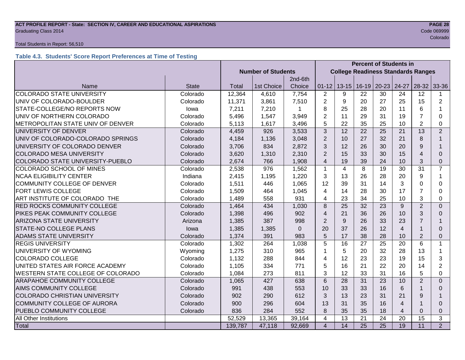# **ACT PROFILE REPORT - State: SECTION IV, CAREER AND EDUCATIONAL ASPIRATIONS PAGE 28** Graduating Class 2014 Code 069999

# Total Students in Report: 56,510

# **Table 4.3. Students' Score Report Preferences at Time of Testing**

|                                      |              | <b>Percent of Students in</b> |                           |          |                         |                |                 |                                           |                |                |                |  |  |  |
|--------------------------------------|--------------|-------------------------------|---------------------------|----------|-------------------------|----------------|-----------------|-------------------------------------------|----------------|----------------|----------------|--|--|--|
|                                      |              |                               | <b>Number of Students</b> |          |                         |                |                 | <b>College Readiness Standards Ranges</b> |                |                |                |  |  |  |
|                                      |              |                               |                           | 2nd-6th  |                         |                |                 |                                           |                |                |                |  |  |  |
| Name                                 | <b>State</b> | Total                         | 1st Choice                | Choice   | $01 - 12$               | $13 - 15$      | $16-19$         | $20 - 23$                                 | 24-27          | $28-32$        | 33-36          |  |  |  |
| <b>COLORADO STATE UNIVERSITY</b>     | Colorado     | 12,364                        | 4,610                     | 7,754    | $\overline{2}$          | 9              | 22              | 30                                        | 24             | 12             | 1              |  |  |  |
| UNIV OF COLORADO-BOULDER             | Colorado     | 11,371                        | 3,861                     | 7,510    | $\overline{2}$          | 9              | 20              | 27                                        | 25             | 15             | $\overline{2}$ |  |  |  |
| STATE-COLLEGE/NO REPORTS NOW         | lowa         | 7,211                         | 7,210                     |          | 8                       | 25             | 28              | 20                                        | 11             | 6              | 1              |  |  |  |
| UNIV OF NORTHERN COLORADO            | Colorado     | 5,496                         | 1,547                     | 3,949    | $\overline{2}$          | 11             | 29              | 31                                        | 19             | $\overline{7}$ | 0              |  |  |  |
| METROPOLITAN STATE UNIV OF DENVER    | Colorado     | 5,113                         | 1,617                     | 3,496    | 5                       | 22             | 35              | 25                                        | 10             | $\overline{2}$ | 0              |  |  |  |
| UNIVERSITY OF DENVER                 | Colorado     | 4,459                         | 926                       | 3,533    | 3                       | 12             | 22              | 25                                        | 21             | 13             | $\overline{2}$ |  |  |  |
| UNIV OF COLORADO-COLORADO SPRINGS    | Colorado     | 4,184                         | 1,136                     | 3,048    | $\overline{2}$          | 10             | 27              | 32                                        | 21             | 8              | 1              |  |  |  |
| UNIVERSITY OF COLORADO DENVER        | Colorado     | 3,706                         | 834                       | 2,872    | 3                       | 12             | 26              | 30                                        | 20             | 9              |                |  |  |  |
| <b>COLORADO MESA UNIVERSITY</b>      | Colorado     | 3,620                         | 1,310                     | 2,310    | $\overline{2}$          | 15             | 33              | 30                                        | 15             | $\overline{4}$ | $\Omega$       |  |  |  |
| COLORADO STATE UNIVERSITY-PUEBLO     | Colorado     | 2,674                         | 766                       | 1,908    | $\overline{\mathbf{4}}$ | 19             | 39              | 24                                        | 10             | 3              | 0              |  |  |  |
| COLORADO SCHOOL OF MINES             | Colorado     | 2,538                         | 976                       | 1,562    | $\mathbf{1}$            | $\overline{4}$ | 8               | 19                                        | 30             | 31             | $\overline{7}$ |  |  |  |
| <b>NCAA ELIGIBILITY CENTER</b>       | Indiana      | 2,415                         | 1,195                     | 1,220    | 3                       | 13             | 26              | 28                                        | 20             | 9              | 1              |  |  |  |
| COMMUNITY COLLEGE OF DENVER          | Colorado     | 1,511                         | 446                       | 1,065    | 12                      | 39             | 31              | 14                                        | 3              | $\Omega$       | $\Omega$       |  |  |  |
| <b>FORT LEWIS COLLEGE</b>            | Colorado     | 1,509                         | 464                       | 1,045    | 4                       | 14             | 28              | 30                                        | 17             | 7              | 0              |  |  |  |
| ART INSTITUTE OF COLORADO THE        | Colorado     | 1,489                         | 558                       | 931      | 4                       | 23             | 34              | 25                                        | 10             | 3              | 0              |  |  |  |
| RED ROCKS COMMUNITY COLLEGE          | Colorado     | 1,464                         | 434                       | 1,030    | 8                       | 25             | 32              | 23                                        | 9              | $\overline{2}$ | $\overline{0}$ |  |  |  |
| PIKES PEAK COMMUNITY COLLEGE         | Colorado     | 1,398                         | 496                       | 902      | $\overline{4}$          | 21             | 36              | 26                                        | 10             | 3              | $\Omega$       |  |  |  |
| <b>ARIZONA STATE UNIVERSITY</b>      | Arizona      | 1,385                         | 387                       | 998      | $\overline{2}$          | 9              | 26              | 33                                        | 23             | 7              |                |  |  |  |
| STATE-NO COLLEGE PLANS               | lowa         | 1,385                         | 1,385                     | $\Omega$ | 20                      | 37             | 26              | 12                                        | $\overline{4}$ |                | 0              |  |  |  |
| <b>ADAMS STATE UNIVERSITY</b>        | Colorado     | 1,374                         | 391                       | 983      | 5                       | 17             | 38              | 28                                        | 10             | $\overline{2}$ | $\Omega$       |  |  |  |
| <b>REGIS UNIVERSITY</b>              | Colorado     | 1,302                         | 264                       | 1,038    | 5                       | 16             | 27              | 25                                        | 20             | 6              | 1              |  |  |  |
| UNIVERSITY OF WYOMING                | Wyoming      | 1,275                         | 310                       | 965      | 1                       | 5              | 20              | 32                                        | 28             | 13             | $\mathbf{1}$   |  |  |  |
| <b>COLORADO COLLEGE</b>              | Colorado     | 1,132                         | 288                       | 844      | 4                       | 12             | 23              | 23                                        | 19             | 15             | 3              |  |  |  |
| UNITED STATES AIR FORCE ACADEMY      | Colorado     | 1,105                         | 334                       | 771      | 5                       | 16             | 21              | 22                                        | 20             | 14             | $\overline{2}$ |  |  |  |
| WESTERN STATE COLLEGE OF COLORADO    | Colorado     | 1,084                         | 273                       | 811      | 3                       | 12             | 33              | 31                                        | 16             | 5              | 0              |  |  |  |
| <b>ARAPAHOE COMMUNITY COLLEGE</b>    | Colorado     | 1,065                         | 427                       | 638      | 6                       | 28             | 31              | 23                                        | 10             | $\overline{2}$ | $\Omega$       |  |  |  |
| AIMS COMMUNITY COLLEGE               | Colorado     | 991                           | 438                       | 553      | 10                      | 33             | 33              | 16                                        | 6              |                | 0              |  |  |  |
| <b>COLORADO CHRISTIAN UNIVERSITY</b> | Colorado     | 902                           | 290                       | 612      | 3                       | 13             | 23              | 31                                        | 21             | 9              |                |  |  |  |
| <b>COMMUNITY COLLEGE OF AURORA</b>   | Colorado     | 900                           | 296                       | 604      | 13                      | 31             | 35              | 16                                        | $\overline{4}$ |                | $\Omega$       |  |  |  |
| PUEBLO COMMUNITY COLLEGE             | Colorado     | 836                           | 284                       | 552      | 8                       | 35             | 35              | 18                                        | $\overline{4}$ | $\Omega$       | $\mathbf{0}$   |  |  |  |
| All Other Institutions               |              | 52,529                        | 13,365                    | 39,164   | 4                       | 13             | 21              | 24                                        | 20             | 15             | 3              |  |  |  |
| <b>Total</b>                         |              | 139,787                       | 47,118                    | 92,669   | $\overline{4}$          | 14             | $\overline{25}$ | $\overline{25}$                           | 19             | 11             | 2              |  |  |  |

e de la construcción de la construcción de la construcción de la construcción de la construcción de la construcción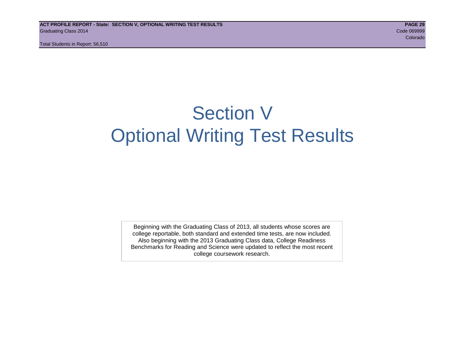Total Students in Report: 56,510

# Section V Optional Writing Test Results

Beginning with the Graduating Class of 2013, all students whose scores are college reportable, both standard and extended time tests, are now included. Also beginning with the 2013 Graduating Class data, College Readiness Benchmarks for Reading and Science were updated to reflect the most recent college coursework research.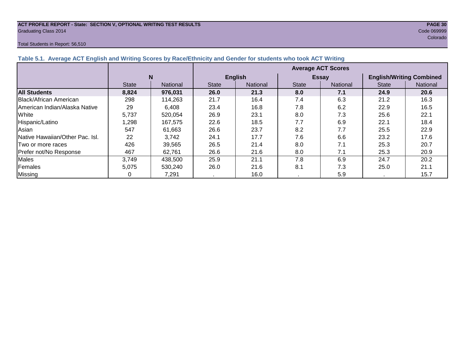# **ACT PROFILE REPORT - State: SECTION V, OPTIONAL WRITING TEST RESULTS PAGE 30** Graduating Class 2014 Code 069999

# Total Students in Report: 56,510

e de la construcción de la construcción de la construcción de la construcción de la construcción de la construcción

| Table 5.1. Average ACT English and Writing Scores by Race/Ethnicity and Gender for students who took ACT Writing |              |          |                           |                 |              |                 |                                 |                 |  |  |  |  |  |
|------------------------------------------------------------------------------------------------------------------|--------------|----------|---------------------------|-----------------|--------------|-----------------|---------------------------------|-----------------|--|--|--|--|--|
|                                                                                                                  |              |          | <b>Average ACT Scores</b> |                 |              |                 |                                 |                 |  |  |  |  |  |
|                                                                                                                  |              | N        |                           | <b>English</b>  |              | <b>Essay</b>    | <b>English/Writing Combined</b> |                 |  |  |  |  |  |
|                                                                                                                  | <b>State</b> | National | <b>State</b>              | <b>National</b> | <b>State</b> | <b>National</b> | <b>State</b>                    | <b>National</b> |  |  |  |  |  |
| <b>All Students</b>                                                                                              | 8,824        | 976.031  | 26.0                      | 21.3            | 8.0          | 7.1             | 24.9                            | 20.6            |  |  |  |  |  |
| Black/African American                                                                                           | 298          | 114,263  | 21.7                      | 16.4            | 7.4          | 6.3             | 21.2                            | 16.3            |  |  |  |  |  |
| American Indian/Alaska Native                                                                                    | 29           | 6,408    | 23.4                      | 16.8            | 7.8          | 6.2             | 22.9                            | 16.5            |  |  |  |  |  |
| White                                                                                                            | 5,737        | 520.054  | 26.9                      | 23.1            | 8.0          | 7.3             | 25.6                            | 22.1            |  |  |  |  |  |
| Hispanic/Latino                                                                                                  | ,298         | 167.575  | 22.6                      | 18.5            | 7.7          | 6.9             | 22.1                            | 18.4            |  |  |  |  |  |
| Asian                                                                                                            | 547          | 61,663   | 26.6                      | 23.7            | 8.2          | 7.7             | 25.5                            | 22.9            |  |  |  |  |  |
| <b>Native Hawaiian/Other Pac. Isl.</b>                                                                           | 22           | 3.742    | 24.1                      | 17.7            | 7.6          | 6.6             | 23.2                            | 17.6            |  |  |  |  |  |
| <b>Two or more races</b>                                                                                         | 426          | 39,565   | 26.5                      | 21.4            | 8.0          | 7.1             | 25.3                            | 20.7            |  |  |  |  |  |
| Prefer not/No Response                                                                                           | 467          | 62,761   | 26.6                      | 21.6            | 8.0          | 7.1             | 25.3                            | 20.9            |  |  |  |  |  |
| <b>Males</b>                                                                                                     | 3,749        | 438,500  | 25.9                      | 21.1            | 7.8          | 6.9             | 24.7                            | 20.2            |  |  |  |  |  |
| Females                                                                                                          | 5,075        | 530,240  | 26.0                      | 21.6            | 8.1          | 7.3             | 25.0                            | 21.1            |  |  |  |  |  |
| Missing                                                                                                          | 0            | 7,291    | . н.                      | 16.0            |              | 5.9             |                                 | 15.7            |  |  |  |  |  |